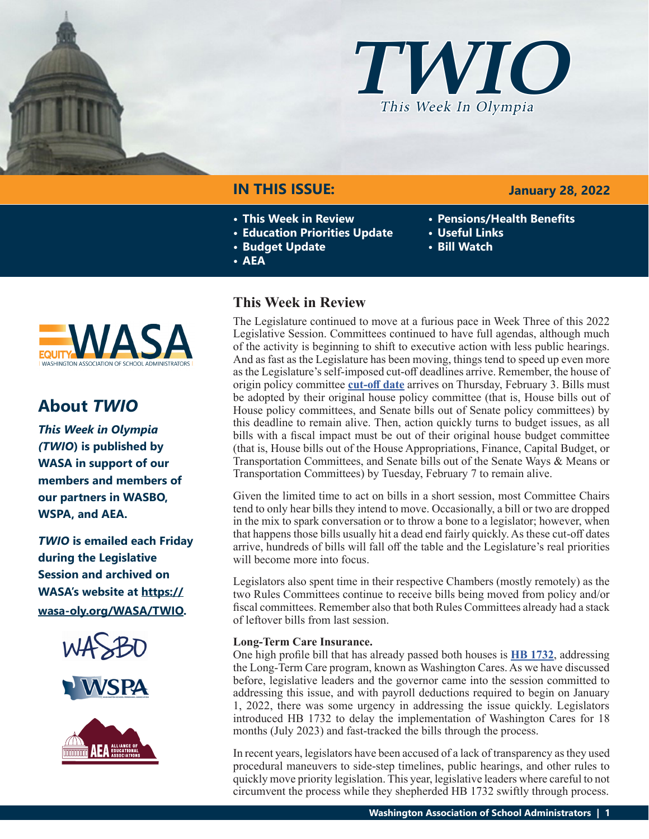



# **IN THIS ISSUE:**

- **• This Week in Review**
- **• Education Priorities Update**
- **• Budget Update**
- **• AEA**

## **January 28, 2022**

- **• Pensions/Health Benefits**
- **• Useful Links**
- **• Bill Watch**



# **About** *TWIO*

*This Week in Olympia (TWIO***) is published by WASA in support of our members and members of our partners in WASBO, WSPA, and AEA.**

*TWIO* **is emailed each Friday during the Legislative Session and archived on WASA's website at [https://](http://app.leg.wa.gov/billsummary?Year=2021&BillNumber=1803) [wasa-oly.org/WASA/TWIO](http://app.leg.wa.gov/billsummary?Year=2021&BillNumber=1803).** 





# **This Week in Review**

The Legislature continued to move at a furious pace in Week Three of this 2022 Legislative Session. Committees continued to have full agendas, although much of the activity is beginning to shift to executive action with less public hearings. And as fast as the Legislature has been moving, things tend to speed up even more as the Legislature's self-imposed cut-off deadlines arrive. Remember, the house of origin policy committee **[cut-off date](https://leg.wa.gov/legislature/Pages/cutoff.aspx)** arrives on Thursday, February 3. Bills must be adopted by their original house policy committee (that is, House bills out of House policy committees, and Senate bills out of Senate policy committees) by this deadline to remain alive. Then, action quickly turns to budget issues, as all bills with a fiscal impact must be out of their original house budget committee (that is, House bills out of the House Appropriations, Finance, Capital Budget, or Transportation Committees, and Senate bills out of the Senate Ways & Means or Transportation Committees) by Tuesday, February 7 to remain alive.

Given the limited time to act on bills in a short session, most Committee Chairs tend to only hear bills they intend to move. Occasionally, a bill or two are dropped in the mix to spark conversation or to throw a bone to a legislator; however, when that happens those bills usually hit a dead end fairly quickly. As these cut-off dates arrive, hundreds of bills will fall off the table and the Legislature's real priorities will become more into focus.

Legislators also spent time in their respective Chambers (mostly remotely) as the two Rules Committees continue to receive bills being moved from policy and/or fiscal committees. Remember also that both Rules Committees already had a stack of leftover bills from last session.

## **Long-Term Care Insurance.**

One high profile bill that has already passed both houses is **[HB 1732](https://app.leg.wa.gov/billsummary?BillNumber=1732&Year=2021&Initiative=false)**, addressing the Long-Term Care program, known as Washington Cares. As we have discussed before, legislative leaders and the governor came into the session committed to addressing this issue, and with payroll deductions required to begin on January 1, 2022, there was some urgency in addressing the issue quickly. Legislators introduced HB 1732 to delay the implementation of Washington Cares for 18 months (July 2023) and fast-tracked the bills through the process.

In recent years, legislators have been accused of a lack of transparency as they used procedural maneuvers to side-step timelines, public hearings, and other rules to quickly move priority legislation. This year, legislative leaders where careful to not circumvent the process while they shepherded HB 1732 swiftly through process.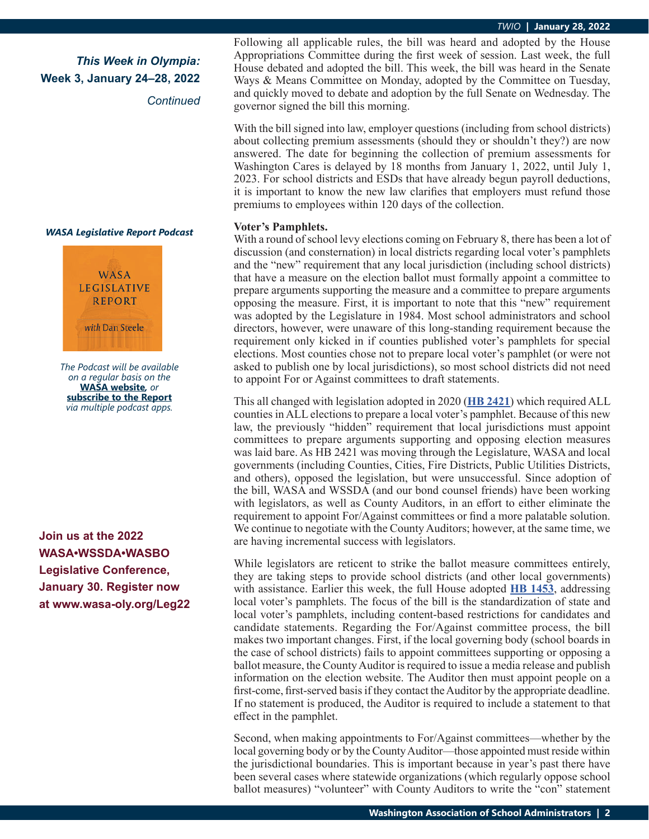*Continued*

#### *WASA Legislative Report Podcast*



*The Podcast will be available on a regular basis on the*  **WASA website***, or* **subscribe to the Report** *via multiple podcast apps.*

**Join us at the 2022 WASA•WSSDA•WASBO Legislative Conference, January 30. Register now at www.wasa-oly.org/Leg22** Following all applicable rules, the bill was heard and adopted by the House Appropriations Committee during the first week of session. Last week, the full House debated and adopted the bill. This week, the bill was heard in the Senate Ways & Means Committee on Monday, adopted by the Committee on Tuesday, and quickly moved to debate and adoption by the full Senate on Wednesday. The governor signed the bill this morning.

With the bill signed into law, employer questions (including from school districts) about collecting premium assessments (should they or shouldn't they?) are now answered. The date for beginning the collection of premium assessments for Washington Cares is delayed by 18 months from January 1, 2022, until July 1, 2023. For school districts and ESDs that have already begun payroll deductions, it is important to know the new law clarifies that employers must refund those premiums to employees within 120 days of the collection.

## **Voter's Pamphlets.**

With a round of school levy elections coming on February 8, there has been a lot of discussion (and consternation) in local districts regarding local voter's pamphlets and the "new" requirement that any local jurisdiction (including school districts) that have a measure on the election ballot must formally appoint a committee to prepare arguments supporting the measure and a committee to prepare arguments opposing the measure. First, it is important to note that this "new" requirement was adopted by the Legislature in 1984. Most school administrators and school directors, however, were unaware of this long-standing requirement because the requirement only kicked in if counties published voter's pamphlets for special elections. Most counties chose not to prepare local voter's pamphlet (or were not asked to publish one by local jurisdictions), so most school districts did not need to appoint For or Against committees to draft statements.

This all changed with legislation adopted in 2020 (**[HB 2421](https://app.leg.wa.gov/billsummary?BillNumber=2421&Initiative=false&Year=2019)**) which required ALL counties in ALL elections to prepare a local voter's pamphlet. Because of this new law, the previously "hidden" requirement that local jurisdictions must appoint committees to prepare arguments supporting and opposing election measures was laid bare. As HB 2421 was moving through the Legislature, WASA and local governments (including Counties, Cities, Fire Districts, Public Utilities Districts, and others), opposed the legislation, but were unsuccessful. Since adoption of the bill, WASA and WSSDA (and our bond counsel friends) have been working with legislators, as well as County Auditors, in an effort to either eliminate the requirement to appoint For/Against committees or find a more palatable solution. We continue to negotiate with the County Auditors; however, at the same time, we are having incremental success with legislators.

While legislators are reticent to strike the ballot measure committees entirely, they are taking steps to provide school districts (and other local governments) with assistance. Earlier this week, the full House adopted **[HB 1453](https://app.leg.wa.gov/billsummary?BillNumber=1453&Initiative=false&Year=2021)**, addressing local voter's pamphlets. The focus of the bill is the standardization of state and local voter's pamphlets, including content-based restrictions for candidates and candidate statements. Regarding the For/Against committee process, the bill makes two important changes. First, if the local governing body (school boards in the case of school districts) fails to appoint committees supporting or opposing a ballot measure, the County Auditor is required to issue a media release and publish information on the election website. The Auditor then must appoint people on a first-come, first-served basis if they contact the Auditor by the appropriate deadline. If no statement is produced, the Auditor is required to include a statement to that effect in the pamphlet.

Second, when making appointments to For/Against committees—whether by the local governing body or by the County Auditor—those appointed must reside within the jurisdictional boundaries. This is important because in year's past there have been several cases where statewide organizations (which regularly oppose school ballot measures) "volunteer" with County Auditors to write the "con" statement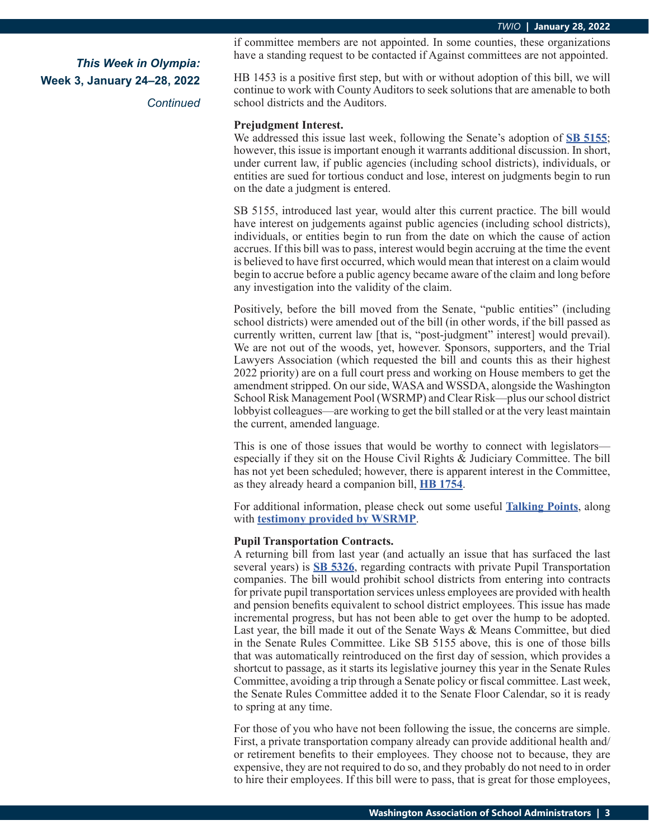*Continued*

if committee members are not appointed. In some counties, these organizations have a standing request to be contacted if Against committees are not appointed.

HB 1453 is a positive first step, but with or without adoption of this bill, we will continue to work with County Auditors to seek solutions that are amenable to both school districts and the Auditors.

## **Prejudgment Interest.**

We addressed this issue last week, following the Senate's adoption of **[SB 5155](https://app.leg.wa.gov/billsummary?BillNumber=5155&Initiative=false&Year=2021)**; however, this issue is important enough it warrants additional discussion. In short, under current law, if public agencies (including school districts), individuals, or entities are sued for tortious conduct and lose, interest on judgments begin to run on the date a judgment is entered.

SB 5155, introduced last year, would alter this current practice. The bill would have interest on judgements against public agencies (including school districts), individuals, or entities begin to run from the date on which the cause of action accrues. If this bill was to pass, interest would begin accruing at the time the event is believed to have first occurred, which would mean that interest on a claim would begin to accrue before a public agency became aware of the claim and long before any investigation into the validity of the claim.

Positively, before the bill moved from the Senate, "public entities" (including school districts) were amended out of the bill (in other words, if the bill passed as currently written, current law [that is, "post-judgment" interest] would prevail). We are not out of the woods, yet, however. Sponsors, supporters, and the Trial Lawyers Association (which requested the bill and counts this as their highest 2022 priority) are on a full court press and working on House members to get the amendment stripped. On our side, WASA and WSSDA, alongside the Washington School Risk Management Pool (WSRMP) and Clear Risk—plus our school district lobbyist colleagues—are working to get the bill stalled or at the very least maintain the current, amended language.

This is one of those issues that would be worthy to connect with legislators especially if they sit on the House Civil Rights & Judiciary Committee. The bill has not yet been scheduled; however, there is apparent interest in the Committee, as they already heard a companion bill, **[HB 1754](https://app.leg.wa.gov/billsummary?BillNumber=1754&Initiative=false&Year=2021)**.

For additional information, please check out some useful **[Talking Points](https://wasa-oly.org/WASA/images/WASA/4.0%20Government%20Relations/4.4.1%20This%20Week%20In%20Olympia%20-%20TWIO/Download_Files/TWIO%202022/Talking%20Points%20--%205155.pdf)**, along with **[testimony provided by WSRMP](https://wasa-oly.org/WASA/images/WASA/4.0%20Government%20Relations/4.4.1%20This%20Week%20In%20Olympia%20-%20TWIO/Download_Files/TWIO%202022/WSRMP%20testimony%205155-1754.pdf)**.

#### **Pupil Transportation Contracts.**

A returning bill from last year (and actually an issue that has surfaced the last several years) is **[SB 5326](https://app.leg.wa.gov/billsummary?BillNumber=5326&Initiative=false&Year=2021)**, regarding contracts with private Pupil Transportation companies. The bill would prohibit school districts from entering into contracts for private pupil transportation services unless employees are provided with health and pension benefits equivalent to school district employees. This issue has made incremental progress, but has not been able to get over the hump to be adopted. Last year, the bill made it out of the Senate Ways & Means Committee, but died in the Senate Rules Committee. Like SB 5155 above, this is one of those bills that was automatically reintroduced on the first day of session, which provides a shortcut to passage, as it starts its legislative journey this year in the Senate Rules Committee, avoiding a trip through a Senate policy or fiscal committee. Last week, the Senate Rules Committee added it to the Senate Floor Calendar, so it is ready to spring at any time.

For those of you who have not been following the issue, the concerns are simple. First, a private transportation company already can provide additional health and/ or retirement benefits to their employees. They choose not to because, they are expensive, they are not required to do so, and they probably do not need to in order to hire their employees. If this bill were to pass, that is great for those employees,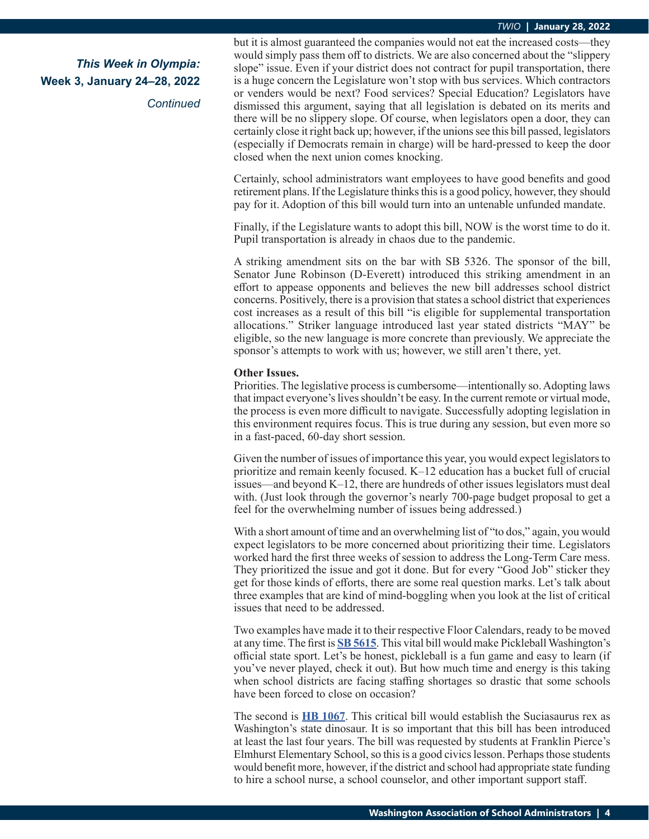#### *TWIO* **| January 28, 2022**

# *This Week in Olympia:* **Week 3, January 24–28, 2022**

*Continued*

but it is almost guaranteed the companies would not eat the increased costs—they would simply pass them off to districts. We are also concerned about the "slippery slope" issue. Even if your district does not contract for pupil transportation, there is a huge concern the Legislature won't stop with bus services. Which contractors or venders would be next? Food services? Special Education? Legislators have dismissed this argument, saying that all legislation is debated on its merits and there will be no slippery slope. Of course, when legislators open a door, they can certainly close it right back up; however, if the unions see this bill passed, legislators (especially if Democrats remain in charge) will be hard-pressed to keep the door closed when the next union comes knocking.

Certainly, school administrators want employees to have good benefits and good retirement plans. If the Legislature thinks this is a good policy, however, they should pay for it. Adoption of this bill would turn into an untenable unfunded mandate.

Finally, if the Legislature wants to adopt this bill, NOW is the worst time to do it. Pupil transportation is already in chaos due to the pandemic.

A striking amendment sits on the bar with SB 5326. The sponsor of the bill, Senator June Robinson (D-Everett) introduced this striking amendment in an effort to appease opponents and believes the new bill addresses school district concerns. Positively, there is a provision that states a school district that experiences cost increases as a result of this bill "is eligible for supplemental transportation allocations." Striker language introduced last year stated districts "MAY" be eligible, so the new language is more concrete than previously. We appreciate the sponsor's attempts to work with us; however, we still aren't there, yet.

## **Other Issues.**

Priorities. The legislative process is cumbersome—intentionally so. Adopting laws that impact everyone's lives shouldn't be easy. In the current remote or virtual mode, the process is even more difficult to navigate. Successfully adopting legislation in this environment requires focus. This is true during any session, but even more so in a fast-paced, 60-day short session.

Given the number of issues of importance this year, you would expect legislators to prioritize and remain keenly focused. K–12 education has a bucket full of crucial issues—and beyond K–12, there are hundreds of other issues legislators must deal with. (Just look through the governor's nearly 700-page budget proposal to get a feel for the overwhelming number of issues being addressed.)

With a short amount of time and an overwhelming list of "to dos," again, you would expect legislators to be more concerned about prioritizing their time. Legislators worked hard the first three weeks of session to address the Long-Term Care mess. They prioritized the issue and got it done. But for every "Good Job" sticker they get for those kinds of efforts, there are some real question marks. Let's talk about three examples that are kind of mind-boggling when you look at the list of critical issues that need to be addressed.

Two examples have made it to their respective Floor Calendars, ready to be moved at any time. The first is **[SB 5615](https://app.leg.wa.gov/billsummary?BillNumber=5615&Initiative=false&Year=2021)**. This vital bill would make Pickleball Washington's official state sport. Let's be honest, pickleball is a fun game and easy to learn (if you've never played, check it out). But how much time and energy is this taking when school districts are facing staffing shortages so drastic that some schools have been forced to close on occasion?

The second is **[HB 1067](https://app.leg.wa.gov/billsummary?BillNumber=1067&Initiative=false&Year=2021)**. This critical bill would establish the Suciasaurus rex as Washington's state dinosaur. It is so important that this bill has been introduced at least the last four years. The bill was requested by students at Franklin Pierce's Elmhurst Elementary School, so this is a good civics lesson. Perhaps those students would benefit more, however, if the district and school had appropriate state funding to hire a school nurse, a school counselor, and other important support staff.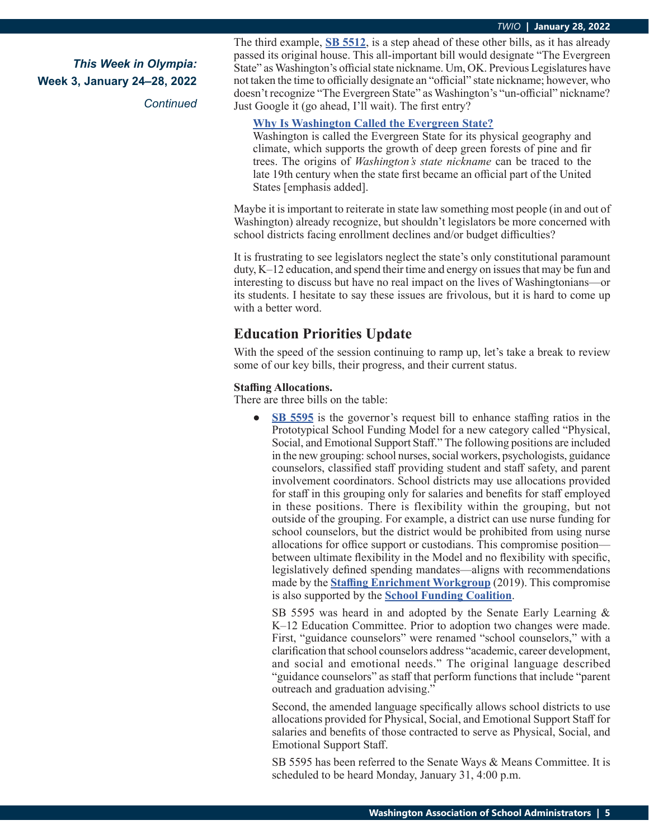*Continued*

The third example, **[SB 5512](https://app.leg.wa.gov/billsummary?BillNumber=5512&Initiative=false&Year=2021)**, is a step ahead of these other bills, as it has already passed its original house. This all-important bill would designate "The Evergreen State" as Washington's official state nickname. Um, OK. Previous Legislatures have not taken the time to officially designate an "official" state nickname; however, who doesn't recognize "The Evergreen State" as Washington's "un-official" nickname? Just Google it (go ahead, I'll wait). The first entry?

## **[Why Is Washington Called the Evergreen State?](https://www.infobloom.com/why-is-washington-called-the-evergreen-state.htm#:~:text=Washington%20is%20called%20the%20Evergreen%20State%20for%20its,became%20an%20official%20part%20of%20the%20United%20States.)**

Washington is called the Evergreen State for its physical geography and climate, which supports the growth of deep green forests of pine and fir trees. The origins of *Washington's state nickname* can be traced to the late 19th century when the state first became an official part of the United States [emphasis added].

Maybe it is important to reiterate in state law something most people (in and out of Washington) already recognize, but shouldn't legislators be more concerned with school districts facing enrollment declines and/or budget difficulties?

It is frustrating to see legislators neglect the state's only constitutional paramount duty, K–12 education, and spend their time and energy on issues that may be fun and interesting to discuss but have no real impact on the lives of Washingtonians—or its students. I hesitate to say these issues are frivolous, but it is hard to come up with a better word.

## **Education Priorities Update**

With the speed of the session continuing to ramp up, let's take a break to review some of our key bills, their progress, and their current status.

### **Staffing Allocations.**

There are three bills on the table:

**<u>[SB 5595](https://app.leg.wa.gov/billsummary?BillNumber=5595&Initiative=false&Year=2021)</u>** is the governor's request bill to enhance staffing ratios in the Prototypical School Funding Model for a new category called "Physical, Social, and Emotional Support Staff." The following positions are included in the new grouping: school nurses, social workers, psychologists, guidance counselors, classified staff providing student and staff safety, and parent involvement coordinators. School districts may use allocations provided for staff in this grouping only for salaries and benefits for staff employed in these positions. There is flexibility within the grouping, but not outside of the grouping. For example, a district can use nurse funding for school counselors, but the district would be prohibited from using nurse allocations for office support or custodians. This compromise position between ultimate flexibility in the Model and no flexibility with specific, legislatively defined spending mandates—aligns with recommendations made by the **[Staffing Enrichment Workgroup](https://www.k12.wa.us/sites/default/files/public/communications/2019-12-Staffing-Enrichment-Workgroup.pdf)** (2019). This compromise is also supported by the **[School Funding Coalition](https://wasa-oly.org/WASA/images/WASA/4.0 Government Relations/4.3 Current Issues/Download_Files/2022 SFC Priorities 10-14 Final .pdf)**.

SB 5595 was heard in and adopted by the Senate Early Learning & K–12 Education Committee. Prior to adoption two changes were made. First, "guidance counselors" were renamed "school counselors," with a clarification that school counselors address "academic, career development, and social and emotional needs." The original language described "guidance counselors" as staff that perform functions that include "parent outreach and graduation advising."

Second, the amended language specifically allows school districts to use allocations provided for Physical, Social, and Emotional Support Staff for salaries and benefits of those contracted to serve as Physical, Social, and Emotional Support Staff.

SB 5595 has been referred to the Senate Ways & Means Committee. It is scheduled to be heard Monday, January 31, 4:00 p.m.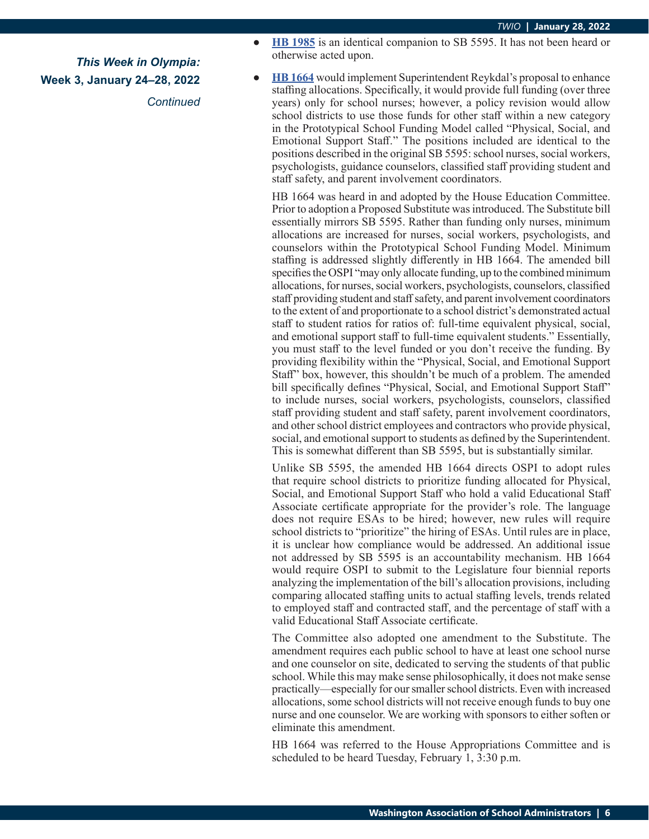*Continued*

- **● [HB 1985](https://app.leg.wa.gov/billsummary?BillNumber=1985&Initiative=false&Year=2021)** is an identical companion to SB 5595. It has not been heard or otherwise acted upon.
- **[HB 1664](https://app.leg.wa.gov/billsummary?BillNumber=1664&Initiative=false&Year=2021)** would implement Superintendent Reykdal's proposal to enhance staffing allocations. Specifically, it would provide full funding (over three years) only for school nurses; however, a policy revision would allow school districts to use those funds for other staff within a new category in the Prototypical School Funding Model called "Physical, Social, and Emotional Support Staff." The positions included are identical to the positions described in the original SB 5595: school nurses, social workers, psychologists, guidance counselors, classified staff providing student and staff safety, and parent involvement coordinators.

HB 1664 was heard in and adopted by the House Education Committee. Prior to adoption a Proposed Substitute was introduced. The Substitute bill essentially mirrors SB 5595. Rather than funding only nurses, minimum allocations are increased for nurses, social workers, psychologists, and counselors within the Prototypical School Funding Model. Minimum staffing is addressed slightly differently in HB 1664. The amended bill specifies the OSPI "may only allocate funding, up to the combined minimum allocations, for nurses, social workers, psychologists, counselors, classified staff providing student and staff safety, and parent involvement coordinators to the extent of and proportionate to a school district's demonstrated actual staff to student ratios for ratios of: full-time equivalent physical, social, and emotional support staff to full-time equivalent students." Essentially, you must staff to the level funded or you don't receive the funding. By providing flexibility within the "Physical, Social, and Emotional Support Staff" box, however, this shouldn't be much of a problem. The amended bill specifically defines "Physical, Social, and Emotional Support Staff" to include nurses, social workers, psychologists, counselors, classified staff providing student and staff safety, parent involvement coordinators, and other school district employees and contractors who provide physical, social, and emotional support to students as defined by the Superintendent. This is somewhat different than SB 5595, but is substantially similar.

Unlike SB 5595, the amended HB 1664 directs OSPI to adopt rules that require school districts to prioritize funding allocated for Physical, Social, and Emotional Support Staff who hold a valid Educational Staff Associate certificate appropriate for the provider's role. The language does not require ESAs to be hired; however, new rules will require school districts to "prioritize" the hiring of ESAs. Until rules are in place, it is unclear how compliance would be addressed. An additional issue not addressed by SB 5595 is an accountability mechanism. HB 1664 would require OSPI to submit to the Legislature four biennial reports analyzing the implementation of the bill's allocation provisions, including comparing allocated staffing units to actual staffing levels, trends related to employed staff and contracted staff, and the percentage of staff with a valid Educational Staff Associate certificate.

The Committee also adopted one amendment to the Substitute. The amendment requires each public school to have at least one school nurse and one counselor on site, dedicated to serving the students of that public school. While this may make sense philosophically, it does not make sense practically—especially for our smaller school districts. Even with increased allocations, some school districts will not receive enough funds to buy one nurse and one counselor. We are working with sponsors to either soften or eliminate this amendment.

HB 1664 was referred to the House Appropriations Committee and is scheduled to be heard Tuesday, February 1, 3:30 p.m.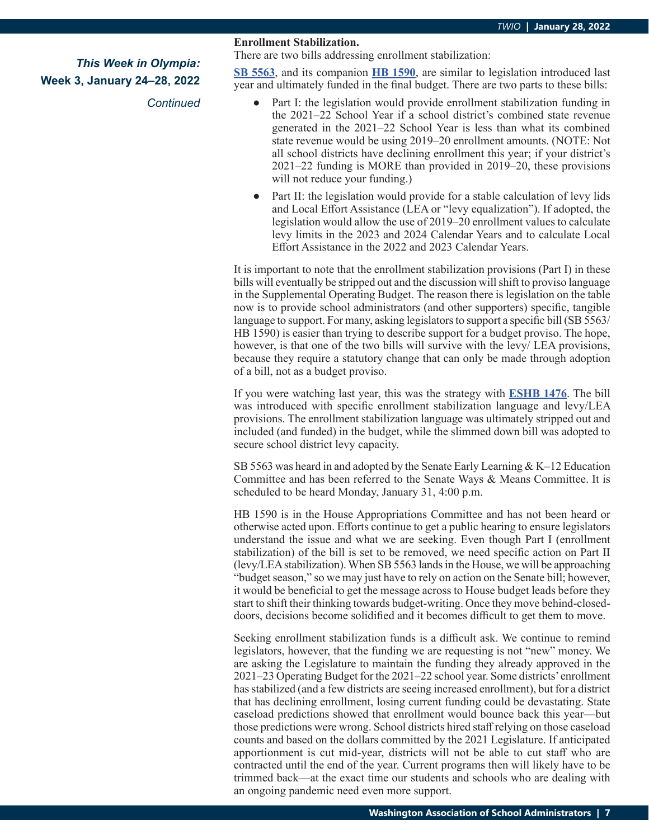*Continued*

#### **Enrollment Stabilization.**

There are two bills addressing enrollment stabilization:

**[SB 5563](https://app.leg.wa.gov/billsummary?BillNumber=5563&Initiative=false&Year=2021)**, and its companion **[HB 1590](https://app.leg.wa.gov/billsummary?BillNumber=1590&Initiative=false&Year=2021)**, are similar to legislation introduced last year and ultimately funded in the final budget. There are two parts to these bills:

- Part I: the legislation would provide enrollment stabilization funding in the 2021–22 School Year if a school district's combined state revenue generated in the 2021–22 School Year is less than what its combined state revenue would be using 2019–20 enrollment amounts. (NOTE: Not all school districts have declining enrollment this year; if your district's 2021–22 funding is MORE than provided in 2019–20, these provisions will not reduce your funding.)
- **●** Part II: the legislation would provide for a stable calculation of levy lids and Local Effort Assistance (LEA or "levy equalization"). If adopted, the legislation would allow the use of 2019–20 enrollment values to calculate levy limits in the 2023 and 2024 Calendar Years and to calculate Local Effort Assistance in the 2022 and 2023 Calendar Years.

It is important to note that the enrollment stabilization provisions (Part I) in these bills will eventually be stripped out and the discussion will shift to proviso language in the Supplemental Operating Budget. The reason there is legislation on the table now is to provide school administrators (and other supporters) specific, tangible language to support. For many, asking legislators to support a specific bill (SB 5563/ HB 1590) is easier than trying to describe support for a budget proviso. The hope, however, is that one of the two bills will survive with the levy/ LEA provisions, because they require a statutory change that can only be made through adoption of a bill, not as a budget proviso.

If you were watching last year, this was the strategy with **[ESHB 1476](https://app.leg.wa.gov/billsummary?BillNumber=1476&Initiative=false&Year=2021)**. The bill was introduced with specific enrollment stabilization language and levy/LEA provisions. The enrollment stabilization language was ultimately stripped out and included (and funded) in the budget, while the slimmed down bill was adopted to secure school district levy capacity.

SB 5563 was heard in and adopted by the Senate Early Learning  $& K-12$  Education Committee and has been referred to the Senate Ways & Means Committee. It is scheduled to be heard Monday, January 31, 4:00 p.m.

HB 1590 is in the House Appropriations Committee and has not been heard or otherwise acted upon. Efforts continue to get a public hearing to ensure legislators understand the issue and what we are seeking. Even though Part I (enrollment stabilization) of the bill is set to be removed, we need specific action on Part II (levy/LEA stabilization). When SB 5563 lands in the House, we will be approaching "budget season," so we may just have to rely on action on the Senate bill; however, it would be beneficial to get the message across to House budget leads before they start to shift their thinking towards budget-writing. Once they move behind-closeddoors, decisions become solidified and it becomes difficult to get them to move.

Seeking enrollment stabilization funds is a difficult ask. We continue to remind legislators, however, that the funding we are requesting is not "new" money. We are asking the Legislature to maintain the funding they already approved in the 2021–23 Operating Budget for the 2021–22 school year. Some districts' enrollment has stabilized (and a few districts are seeing increased enrollment), but for a district that has declining enrollment, losing current funding could be devastating. State caseload predictions showed that enrollment would bounce back this year—but those predictions were wrong. School districts hired staff relying on those caseload counts and based on the dollars committed by the 2021 Legislature. If anticipated apportionment is cut mid-year, districts will not be able to cut staff who are contracted until the end of the year. Current programs then will likely have to be trimmed back—at the exact time our students and schools who are dealing with an ongoing pandemic need even more support.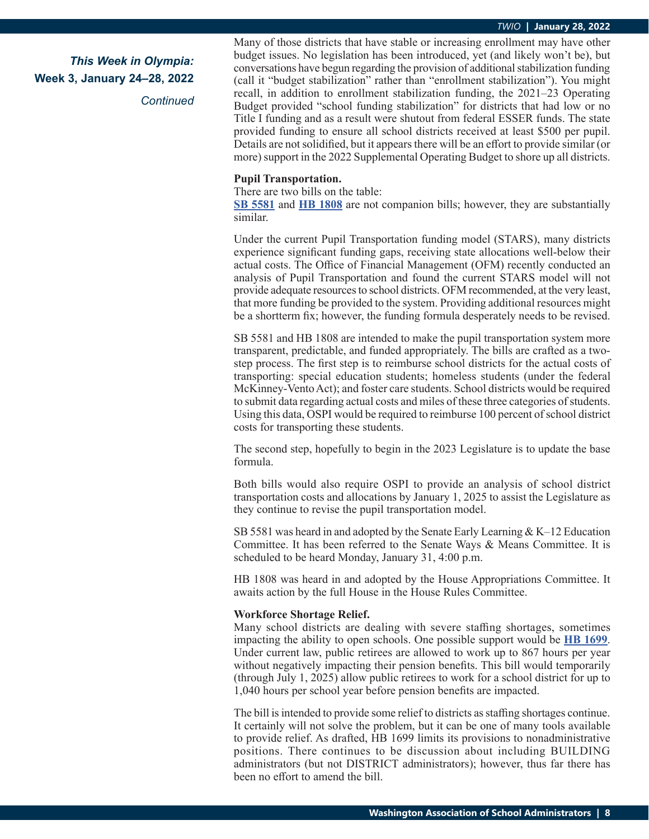*Continued*

Many of those districts that have stable or increasing enrollment may have other budget issues. No legislation has been introduced, yet (and likely won't be), but conversations have begun regarding the provision of additional stabilization funding (call it "budget stabilization" rather than "enrollment stabilization"). You might recall, in addition to enrollment stabilization funding, the 2021–23 Operating Budget provided "school funding stabilization" for districts that had low or no Title I funding and as a result were shutout from federal ESSER funds. The state provided funding to ensure all school districts received at least \$500 per pupil. Details are not solidified, but it appears there will be an effort to provide similar (or more) support in the 2022 Supplemental Operating Budget to shore up all districts.

## **Pupil Transportation.**

There are two bills on the table:

**[SB 5581](https://app.leg.wa.gov/billsummary?BillNumber=5581&Initiative=false&Year=2021)** and **[HB 1808](https://app.leg.wa.gov/billsummary?BillNumber=1808&Initiative=false&Year=2021)** are not companion bills; however, they are substantially similar.

Under the current Pupil Transportation funding model (STARS), many districts experience significant funding gaps, receiving state allocations well-below their actual costs. The Office of Financial Management (OFM) recently conducted an analysis of Pupil Transportation and found the current STARS model will not provide adequate resources to school districts. OFM recommended, at the very least, that more funding be provided to the system. Providing additional resources might be a shortterm fix; however, the funding formula desperately needs to be revised.

SB 5581 and HB 1808 are intended to make the pupil transportation system more transparent, predictable, and funded appropriately. The bills are crafted as a twostep process. The first step is to reimburse school districts for the actual costs of transporting: special education students; homeless students (under the federal McKinney-Vento Act); and foster care students. School districts would be required to submit data regarding actual costs and miles of these three categories of students. Using this data, OSPI would be required to reimburse 100 percent of school district costs for transporting these students.

The second step, hopefully to begin in the 2023 Legislature is to update the base formula.

Both bills would also require OSPI to provide an analysis of school district transportation costs and allocations by January 1, 2025 to assist the Legislature as they continue to revise the pupil transportation model.

SB 5581 was heard in and adopted by the Senate Early Learning & K–12 Education Committee. It has been referred to the Senate Ways & Means Committee. It is scheduled to be heard Monday, January 31, 4:00 p.m.

HB 1808 was heard in and adopted by the House Appropriations Committee. It awaits action by the full House in the House Rules Committee.

#### **Workforce Shortage Relief.**

Many school districts are dealing with severe staffing shortages, sometimes impacting the ability to open schools. One possible support would be **[HB 1699](https://app.leg.wa.gov/billsummary?BillNumber=1699&Initiative=false&Year=2021)**. Under current law, public retirees are allowed to work up to 867 hours per year without negatively impacting their pension benefits. This bill would temporarily (through July 1, 2025) allow public retirees to work for a school district for up to 1,040 hours per school year before pension benefits are impacted.

The bill is intended to provide some relief to districts as staffing shortages continue. It certainly will not solve the problem, but it can be one of many tools available to provide relief. As drafted, HB 1699 limits its provisions to nonadministrative positions. There continues to be discussion about including BUILDING administrators (but not DISTRICT administrators); however, thus far there has been no effort to amend the bill.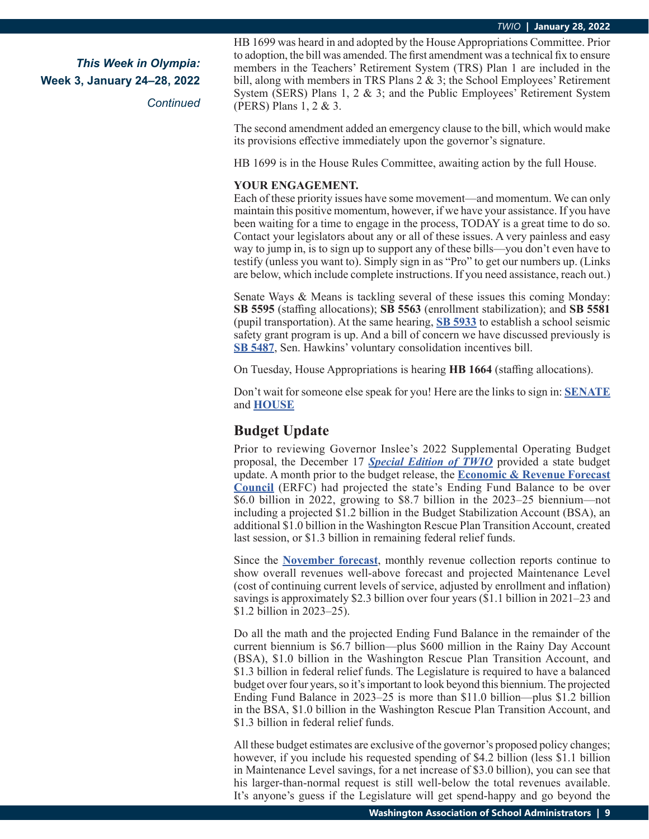*Continued*

HB 1699 was heard in and adopted by the House Appropriations Committee. Prior to adoption, the bill was amended. The first amendment was a technical fix to ensure members in the Teachers' Retirement System (TRS) Plan 1 are included in the bill, along with members in TRS Plans 2 & 3; the School Employees' Retirement System (SERS) Plans 1, 2 & 3; and the Public Employees' Retirement System (PERS) Plans 1, 2 & 3.

The second amendment added an emergency clause to the bill, which would make its provisions effective immediately upon the governor's signature.

HB 1699 is in the House Rules Committee, awaiting action by the full House.

## **YOUR ENGAGEMENT.**

Each of these priority issues have some movement—and momentum. We can only maintain this positive momentum, however, if we have your assistance. If you have been waiting for a time to engage in the process, TODAY is a great time to do so. Contact your legislators about any or all of these issues. A very painless and easy way to jump in, is to sign up to support any of these bills—you don't even have to testify (unless you want to). Simply sign in as "Pro" to get our numbers up. (Links are below, which include complete instructions. If you need assistance, reach out.)

Senate Ways & Means is tackling several of these issues this coming Monday: **SB 5595** (staffing allocations); **SB 5563** (enrollment stabilization); and **SB 5581** (pupil transportation). At the same hearing, **[SB 5933](https://app.leg.wa.gov/billsummary?BillNumber=5933&Initiative=false&Year=2021)** to establish a school seismic safety grant program is up. And a bill of concern we have discussed previously is **[SB 5487](https://app.leg.wa.gov/billsummary?BillNumber=5487&Initiative=false&Year=2021)**, Sen. Hawkins' voluntary consolidation incentives bill.

On Tuesday, House Appropriations is hearing **HB 1664** (staffing allocations).

Don't wait for someone else speak for you! Here are the links to sign in: **[SENATE](https://app.leg.wa.gov/CSI/Senate)** and **[HOUSE](https://app.leg.wa.gov/csi/house)**

## **Budget Update**

Prior to reviewing Governor Inslee's 2022 Supplemental Operating Budget proposal, the December 17 *[Special Edition of TWIO](https://wasa-oly.org/WASA/images/WASA/4.0 Government Relations/4.4.1 This Week In Olympia - TWIO/Download_Files/TWIO 2021/Special Edition 12-17-21.pdf)* provided a state budget update. A month prior to the budget release, the **[Economic & Revenue Forecast](https://erfc.wa.gov/) [Council](https://erfc.wa.gov/)** (ERFC) had projected the state's Ending Fund Balance to be over \$6.0 billion in 2022, growing to \$8.7 billion in the 2023–25 biennium—not including a projected \$1.2 billion in the Budget Stabilization Account (BSA), an additional \$1.0 billion in the Washington Rescue Plan Transition Account, created last session, or \$1.3 billion in remaining federal relief funds.

Since the **[November forecast](https://erfc.wa.gov/sites/default/files/public/documents/meetings/rev20211119.pdf)**, monthly revenue collection reports continue to show overall revenues well-above forecast and projected Maintenance Level (cost of continuing current levels of service, adjusted by enrollment and inflation) savings is approximately \$2.3 billion over four years (\$1.1 billion in 2021–23 and \$1.2 billion in 2023–25).

Do all the math and the projected Ending Fund Balance in the remainder of the current biennium is \$6.7 billion—plus \$600 million in the Rainy Day Account (BSA), \$1.0 billion in the Washington Rescue Plan Transition Account, and \$1.3 billion in federal relief funds. The Legislature is required to have a balanced budget over four years, so it's important to look beyond this biennium. The projected Ending Fund Balance in 2023–25 is more than \$11.0 billion—plus \$1.2 billion in the BSA, \$1.0 billion in the Washington Rescue Plan Transition Account, and \$1.3 billion in federal relief funds.

All these budget estimates are exclusive of the governor's proposed policy changes; however, if you include his requested spending of \$4.2 billion (less \$1.1 billion in Maintenance Level savings, for a net increase of \$3.0 billion), you can see that his larger-than-normal request is still well-below the total revenues available. It's anyone's guess if the Legislature will get spend-happy and go beyond the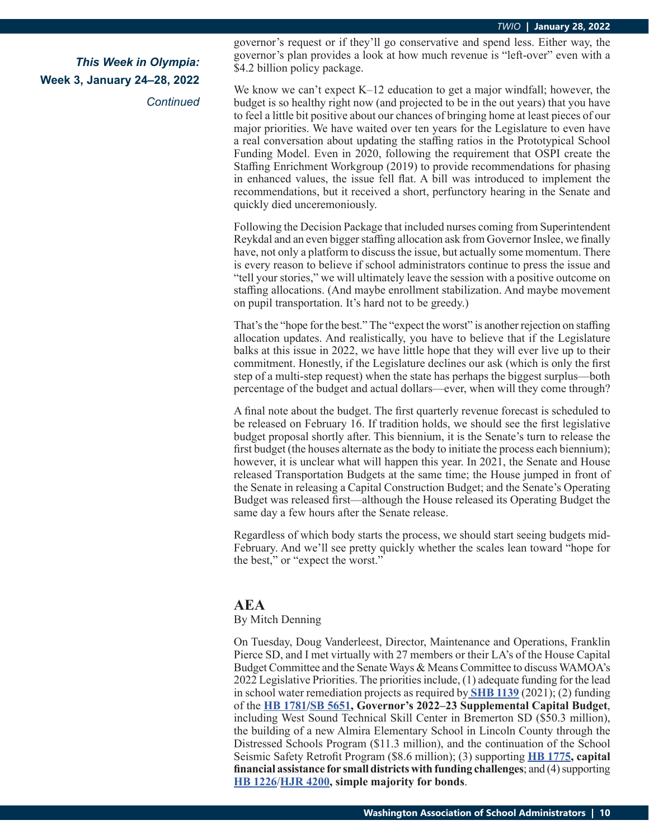*Continued*

governor's request or if they'll go conservative and spend less. Either way, the governor's plan provides a look at how much revenue is "left-over" even with a \$4.2 billion policy package.

We know we can't expect K–12 education to get a major windfall; however, the budget is so healthy right now (and projected to be in the out years) that you have to feel a little bit positive about our chances of bringing home at least pieces of our major priorities. We have waited over ten years for the Legislature to even have a real conversation about updating the staffing ratios in the Prototypical School Funding Model. Even in 2020, following the requirement that OSPI create the Staffing Enrichment Workgroup (2019) to provide recommendations for phasing in enhanced values, the issue fell flat. A bill was introduced to implement the recommendations, but it received a short, perfunctory hearing in the Senate and quickly died unceremoniously.

Following the Decision Package that included nurses coming from Superintendent Reykdal and an even bigger staffing allocation ask from Governor Inslee, we finally have, not only a platform to discuss the issue, but actually some momentum. There is every reason to believe if school administrators continue to press the issue and "tell your stories," we will ultimately leave the session with a positive outcome on staffing allocations. (And maybe enrollment stabilization. And maybe movement on pupil transportation. It's hard not to be greedy.)

That's the "hope for the best." The "expect the worst" is another rejection on staffing allocation updates. And realistically, you have to believe that if the Legislature balks at this issue in 2022, we have little hope that they will ever live up to their commitment. Honestly, if the Legislature declines our ask (which is only the first step of a multi-step request) when the state has perhaps the biggest surplus—both percentage of the budget and actual dollars—ever, when will they come through?

A final note about the budget. The first quarterly revenue forecast is scheduled to be released on February 16. If tradition holds, we should see the first legislative budget proposal shortly after. This biennium, it is the Senate's turn to release the first budget (the houses alternate as the body to initiate the process each biennium); however, it is unclear what will happen this year. In 2021, the Senate and House released Transportation Budgets at the same time; the House jumped in front of the Senate in releasing a Capital Construction Budget; and the Senate's Operating Budget was released first—although the House released its Operating Budget the same day a few hours after the Senate release.

Regardless of which body starts the process, we should start seeing budgets mid-February. And we'll see pretty quickly whether the scales lean toward "hope for the best," or "expect the worst."

## **AEA**

#### By Mitch Denning

On Tuesday, Doug Vanderleest, Director, Maintenance and Operations, Franklin Pierce SD, and I met virtually with 27 members or their LA's of the House Capital Budget Committee and the Senate Ways & Means Committee to discuss WAMOA's 2022 Legislative Priorities. The priorities include, (1) adequate funding for the lead in school water remediation projects as required by **[SHB 1139](https://app.leg.wa.gov/billsummary?BillNumber=1139&Initiative=false&Year=2021)** (2021); (2) funding of the **[HB 1781/](https://app.leg.wa.gov/billsummary?BillNumber=1781&Initiative=false&Year=2021)[SB 5651](https://app.leg.wa.gov/billsummary?BillNumber=5651&Initiative=false&Year=2021), Governor's 2022–23 Supplemental Capital Budget**, including West Sound Technical Skill Center in Bremerton SD (\$50.3 million), the building of a new Almira Elementary School in Lincoln County through the Distressed Schools Program (\$11.3 million), and the continuation of the School Seismic Safety Retrofit Program (\$8.6 million); (3) supporting **[HB 1775](https://app.leg.wa.gov/billsummary?BillNumber=1775&Initiative=false&Year=2021), capital financial assistance for small districts with funding challenges**; and (4) supporting **[HB 1226](https://app.leg.wa.gov/billsummary?BillNumber=1226&Initiative=false&Year=2021)**/**[HJR 4200](https://app.leg.wa.gov/billsummary?BillNumber=4200&Initiative=false&Year=2021), simple majority for bonds**.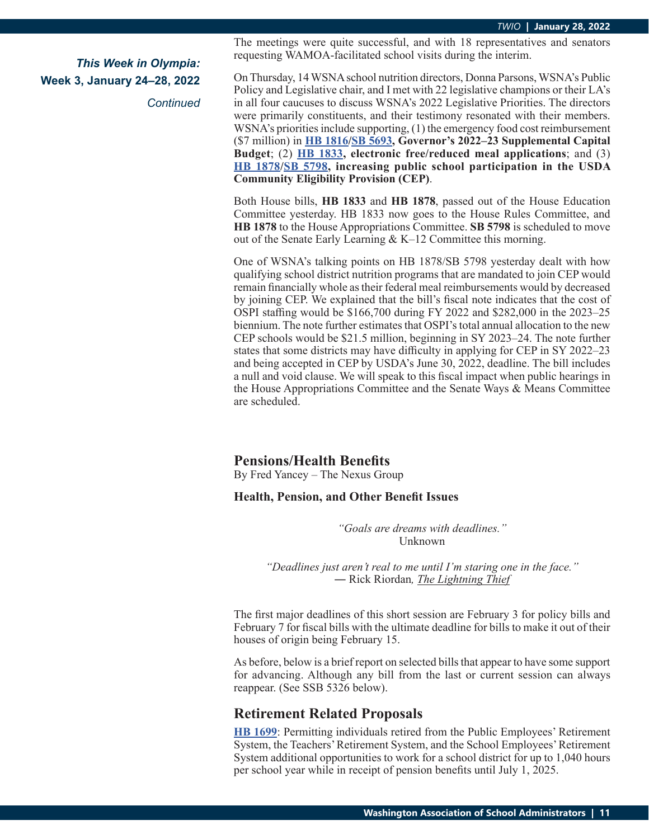*Continued*

The meetings were quite successful, and with 18 representatives and senators requesting WAMOA-facilitated school visits during the interim.

On Thursday, 14 WSNA school nutrition directors, Donna Parsons, WSNA's Public Policy and Legislative chair, and I met with 22 legislative champions or their LA's in all four caucuses to discuss WSNA's 2022 Legislative Priorities. The directors were primarily constituents, and their testimony resonated with their members. WSNA's priorities include supporting, (1) the emergency food cost reimbursement (\$7 million) in **[HB 1816/](https://app.leg.wa.gov/billsummary?BillNumber=1816&Initiative=false&Year=2021)[SB 5693](https://app.leg.wa.gov/billsummary?BillNumber=5693&Initiative=false&Year=2021), Governor's 2022–23 Supplemental Capital Budget**; (2) **[HB 1833](https://app.leg.wa.gov/billsummary?BillNumber=1833&Initiative=false&Year=2021), electronic free/reduced meal applications**; and (3) **[HB 1878/](https://app.leg.wa.gov/billsummary?BillNumber=1878&Initiative=false&Year=2021)[SB 5798](https://app.leg.wa.gov/billsummary?BillNumber=5798&Initiative=false&Year=2021), increasing public school participation in the USDA Community Eligibility Provision (CEP)**.

Both House bills, **HB 1833** and **HB 1878**, passed out of the House Education Committee yesterday. HB 1833 now goes to the House Rules Committee, and **HB 1878** to the House Appropriations Committee. **SB 5798** is scheduled to move out of the Senate Early Learning & K–12 Committee this morning.

One of WSNA's talking points on HB 1878/SB 5798 yesterday dealt with how qualifying school district nutrition programs that are mandated to join CEP would remain financially whole as their federal meal reimbursements would by decreased by joining CEP. We explained that the bill's fiscal note indicates that the cost of OSPI staffing would be \$166,700 during FY 2022 and \$282,000 in the 2023–25 biennium. The note further estimates that OSPI's total annual allocation to the new CEP schools would be \$21.5 million, beginning in SY 2023–24. The note further states that some districts may have difficulty in applying for CEP in SY 2022–23 and being accepted in CEP by USDA's June 30, 2022, deadline. The bill includes a null and void clause. We will speak to this fiscal impact when public hearings in the House Appropriations Committee and the Senate Ways & Means Committee are scheduled.

## **Pensions/Health Benefits**

By Fred Yancey – The Nexus Group

## **Health, Pension, and Other Benefit Issues**

*"Goals are dreams with deadlines."* Unknown

*"Deadlines just aren't real to me until I'm staring one in the face."* ― Rick Riordan*, The Lightning Thief*

The first major deadlines of this short session are February 3 for policy bills and February 7 for fiscal bills with the ultimate deadline for bills to make it out of their houses of origin being February 15.

As before, below is a brief report on selected bills that appear to have some support for advancing. Although any bill from the last or current session can always reappear. (See SSB 5326 below).

## **Retirement Related Proposals**

**[HB 1699](https://app.leg.wa.gov/billsummary?BillNumber=1699&Initiative=false&Year=2021)**: Permitting individuals retired from the Public Employees' Retirement System, the Teachers' Retirement System, and the School Employees' Retirement System additional opportunities to work for a school district for up to 1,040 hours per school year while in receipt of pension benefits until July 1, 2025.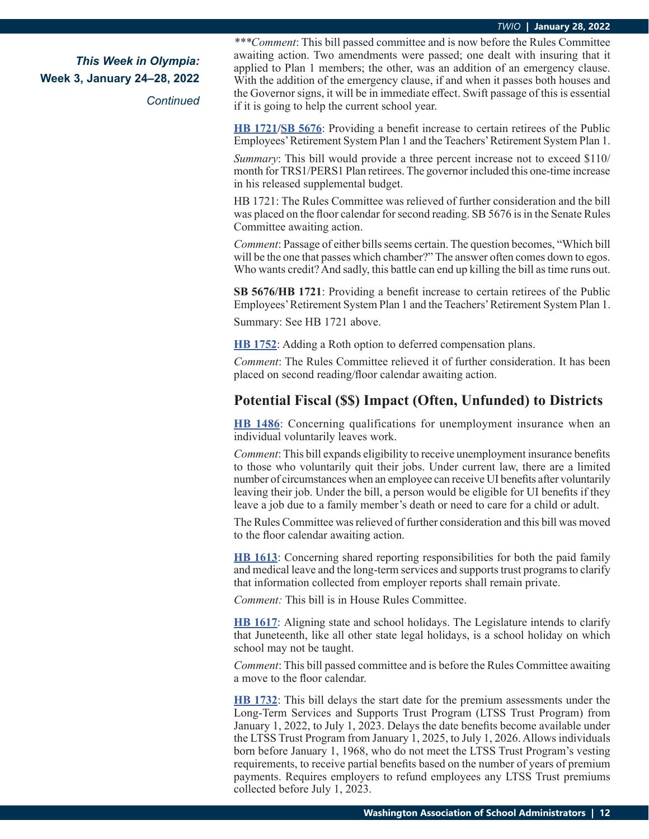*Continued*

*\*\*\*Comment*: This bill passed committee and is now before the Rules Committee awaiting action. Two amendments were passed; one dealt with insuring that it applied to Plan 1 members; the other, was an addition of an emergency clause. With the addition of the emergency clause, if and when it passes both houses and the Governor signs, it will be in immediate effect. Swift passage of this is essential if it is going to help the current school year.

**[HB 1721/](https://app.leg.wa.gov/billsummary?BillNumber=1721&Initiative=false&Year=2021)[SB 5676](https://app.leg.wa.gov/billsummary?BillNumber=5676&Initiative=false&Year=2021)**: Providing a benefit increase to certain retirees of the Public Employees' Retirement System Plan 1 and the Teachers' Retirement System Plan 1.

*Summary*: This bill would provide a three percent increase not to exceed \$110/ month for TRS1/PERS1 Plan retirees. The governor included this one-time increase in his released supplemental budget.

HB 1721: The Rules Committee was relieved of further consideration and the bill was placed on the floor calendar for second reading. SB 5676 is in the Senate Rules Committee awaiting action.

*Comment*: Passage of either bills seems certain. The question becomes, "Which bill will be the one that passes which chamber?" The answer often comes down to egos. Who wants credit? And sadly, this battle can end up killing the bill as time runs out.

**SB 5676/HB 1721**: Providing a benefit increase to certain retirees of the Public Employees' Retirement System Plan 1 and the Teachers' Retirement System Plan 1.

Summary: See HB 1721 above.

**[HB 1752](https://app.leg.wa.gov/billsummary?BillNumber=1752&Initiative=false&Year=2021)**: Adding a Roth option to deferred compensation plans.

*Comment*: The Rules Committee relieved it of further consideration. It has been placed on second reading/floor calendar awaiting action.

## **Potential Fiscal (\$\$) Impact (Often, Unfunded) to Districts**

**[HB 1486](https://app.leg.wa.gov/billsummary?BillNumber=1486&Initiative=false&Year=2021)**: Concerning qualifications for unemployment insurance when an individual voluntarily leaves work.

*Comment*: This bill expands eligibility to receive unemployment insurance benefits to those who voluntarily quit their jobs. Under current law, there are a limited number of circumstances when an employee can receive UI benefits after voluntarily leaving their job. Under the bill, a person would be eligible for UI benefits if they leave a job due to a family member's death or need to care for a child or adult.

The Rules Committee was relieved of further consideration and this bill was moved to the floor calendar awaiting action.

**[HB 1613](https://app.leg.wa.gov/billsummary?BillNumber=1613&Initiative=false&Year=2021)**: Concerning shared reporting responsibilities for both the paid family and medical leave and the long-term services and supports trust programs to clarify that information collected from employer reports shall remain private.

*Comment:* This bill is in House Rules Committee.

**[HB 1617](https://app.leg.wa.gov/billsummary?BillNumber=1617&Initiative=false&Year=2021)**: Aligning state and school holidays. The Legislature intends to clarify that Juneteenth, like all other state legal holidays, is a school holiday on which school may not be taught.

*Comment*: This bill passed committee and is before the Rules Committee awaiting a move to the floor calendar.

**[HB 1732](https://app.leg.wa.gov/billsummary?BillNumber=1732&Initiative=false&Year=2021)**: This bill delays the start date for the premium assessments under the Long-Term Services and Supports Trust Program (LTSS Trust Program) from January 1, 2022, to July 1, 2023. Delays the date benefits become available under the LTSS Trust Program from January 1, 2025, to July 1, 2026. Allows individuals born before January 1, 1968, who do not meet the LTSS Trust Program's vesting requirements, to receive partial benefits based on the number of years of premium payments. Requires employers to refund employees any LTSS Trust premiums collected before July 1, 2023.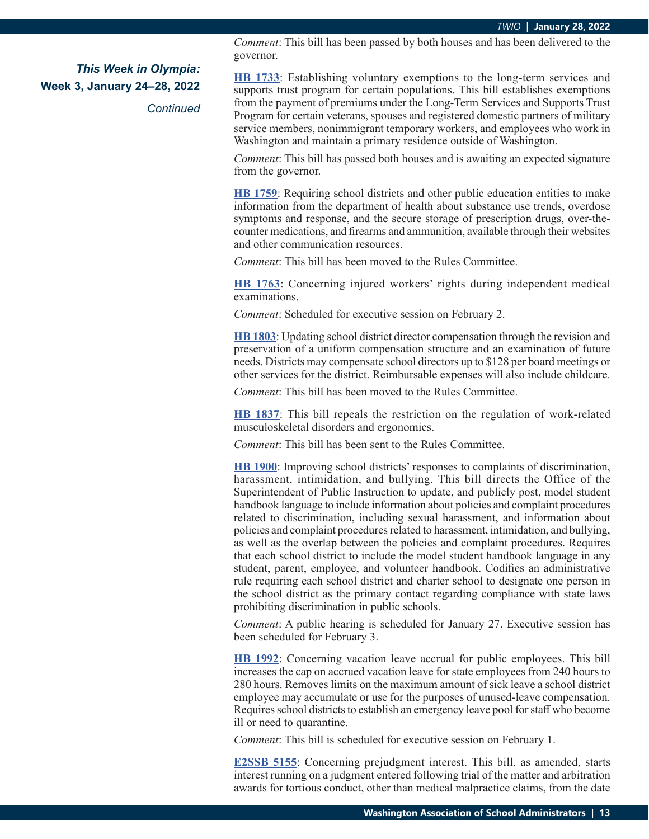*Continued*

*Comment*: This bill has been passed by both houses and has been delivered to the governor.

**[HB 1733](https://app.leg.wa.gov/billsummary?BillNumber=1733&Initiative=false&Year=2021)**: Establishing voluntary exemptions to the long-term services and supports trust program for certain populations. This bill establishes exemptions from the payment of premiums under the Long-Term Services and Supports Trust Program for certain veterans, spouses and registered domestic partners of military service members, nonimmigrant temporary workers, and employees who work in Washington and maintain a primary residence outside of Washington.

*Comment*: This bill has passed both houses and is awaiting an expected signature from the governor.

**[HB 1759](https://app.leg.wa.gov/billsummary?BillNumber=1759&Initiative=false&Year=2021)**: Requiring school districts and other public education entities to make information from the department of health about substance use trends, overdose symptoms and response, and the secure storage of prescription drugs, over-thecounter medications, and firearms and ammunition, available through their websites and other communication resources.

*Comment*: This bill has been moved to the Rules Committee.

**[HB 1763](https://app.leg.wa.gov/billsummary?BillNumber=1763&Initiative=false&Year=2021)**: Concerning injured workers' rights during independent medical examinations.

*Comment*: Scheduled for executive session on February 2.

**[HB 1803](https://app.leg.wa.gov/billsummary?BillNumber=1803&Initiative=false&Year=2021)**: Updating school district director compensation through the revision and preservation of a uniform compensation structure and an examination of future needs. Districts may compensate school directors up to \$128 per board meetings or other services for the district. Reimbursable expenses will also include childcare.

*Comment*: This bill has been moved to the Rules Committee.

**[HB 1837](https://app.leg.wa.gov/billsummary?BillNumber=1837&Initiative=false&Year=2021)**: This bill repeals the restriction on the regulation of work-related musculoskeletal disorders and ergonomics.

*Comment*: This bill has been sent to the Rules Committee.

**[HB 1900](https://app.leg.wa.gov/billsummary?BillNumber=1900&Initiative=false&Year=2021)**: Improving school districts' responses to complaints of discrimination, harassment, intimidation, and bullying. This bill directs the Office of the Superintendent of Public Instruction to update, and publicly post, model student handbook language to include information about policies and complaint procedures related to discrimination, including sexual harassment, and information about policies and complaint procedures related to harassment, intimidation, and bullying, as well as the overlap between the policies and complaint procedures. Requires that each school district to include the model student handbook language in any student, parent, employee, and volunteer handbook. Codifies an administrative rule requiring each school district and charter school to designate one person in the school district as the primary contact regarding compliance with state laws prohibiting discrimination in public schools.

*Comment*: A public hearing is scheduled for January 27. Executive session has been scheduled for February 3.

**[HB 1992](https://app.leg.wa.gov/billsummary?BillNumber=1992&Initiative=false&Year=2021)**: Concerning vacation leave accrual for public employees. This bill increases the cap on accrued vacation leave for state employees from 240 hours to 280 hours. Removes limits on the maximum amount of sick leave a school district employee may accumulate or use for the purposes of unused-leave compensation. Requires school districts to establish an emergency leave pool for staff who become ill or need to quarantine.

*Comment*: This bill is scheduled for executive session on February 1.

**[E2SSB 5155](https://app.leg.wa.gov/billsummary?BillNumber=5155&Initiative=false&Year=2021)**: Concerning prejudgment interest. This bill, as amended, starts interest running on a judgment entered following trial of the matter and arbitration awards for tortious conduct, other than medical malpractice claims, from the date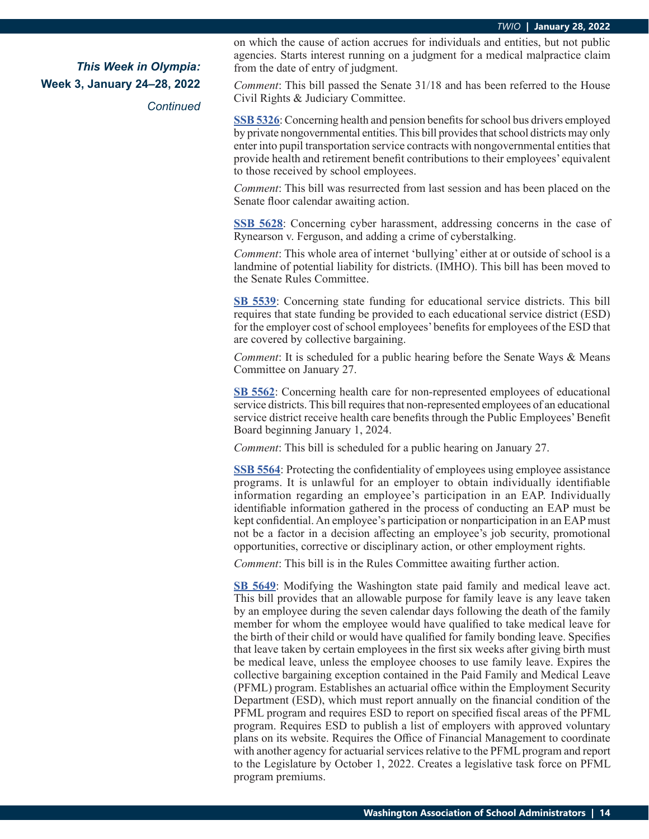*Continued*

on which the cause of action accrues for individuals and entities, but not public agencies. Starts interest running on a judgment for a medical malpractice claim from the date of entry of judgment.

*Comment*: This bill passed the Senate 31/18 and has been referred to the House Civil Rights & Judiciary Committee.

**[SSB 5326](https://app.leg.wa.gov/billsummary?BillNumber=5326&Initiative=false&Year=2021)**: Concerning health and pension benefits for school bus drivers employed by private nongovernmental entities. This bill provides that school districts may only enter into pupil transportation service contracts with nongovernmental entities that provide health and retirement benefit contributions to their employees' equivalent to those received by school employees.

*Comment*: This bill was resurrected from last session and has been placed on the Senate floor calendar awaiting action.

**[SSB 5628](https://app.leg.wa.gov/billsummary?BillNumber=5628&Initiative=false&Year=2021)**: Concerning cyber harassment, addressing concerns in the case of Rynearson v. Ferguson, and adding a crime of cyberstalking.

*Comment*: This whole area of internet 'bullying' either at or outside of school is a landmine of potential liability for districts. (IMHO). This bill has been moved to the Senate Rules Committee.

**[SB 5539](https://app.leg.wa.gov/billsummary?BillNumber=5539&Initiative=false&Year=2021)**: Concerning state funding for educational service districts. This bill requires that state funding be provided to each educational service district (ESD) for the employer cost of school employees' benefits for employees of the ESD that are covered by collective bargaining.

*Comment*: It is scheduled for a public hearing before the Senate Ways & Means Committee on January 27.

**[SB 5562](https://app.leg.wa.gov/billsummary?BillNumber=5562&Initiative=false&Year=2021)**: Concerning health care for non-represented employees of educational service districts. This bill requires that non-represented employees of an educational service district receive health care benefits through the Public Employees' Benefit Board beginning January 1, 2024.

*Comment*: This bill is scheduled for a public hearing on January 27.

**[SSB 5564](https://app.leg.wa.gov/billsummary?BillNumber=5564&Initiative=false&Year=2021)**: Protecting the confidentiality of employees using employee assistance programs. It is unlawful for an employer to obtain individually identifiable information regarding an employee's participation in an EAP. Individually identifiable information gathered in the process of conducting an EAP must be kept confidential. An employee's participation or nonparticipation in an EAP must not be a factor in a decision affecting an employee's job security, promotional opportunities, corrective or disciplinary action, or other employment rights.

*Comment*: This bill is in the Rules Committee awaiting further action.

**[SB 5649](https://app.leg.wa.gov/billsummary?BillNumber=5649&Initiative=false&Year=2021)**: Modifying the Washington state paid family and medical leave act. This bill provides that an allowable purpose for family leave is any leave taken by an employee during the seven calendar days following the death of the family member for whom the employee would have qualified to take medical leave for the birth of their child or would have qualified for family bonding leave. Specifies that leave taken by certain employees in the first six weeks after giving birth must be medical leave, unless the employee chooses to use family leave. Expires the collective bargaining exception contained in the Paid Family and Medical Leave (PFML) program. Establishes an actuarial office within the Employment Security Department (ESD), which must report annually on the financial condition of the PFML program and requires ESD to report on specified fiscal areas of the PFML program. Requires ESD to publish a list of employers with approved voluntary plans on its website. Requires the Office of Financial Management to coordinate with another agency for actuarial services relative to the PFML program and report to the Legislature by October 1, 2022. Creates a legislative task force on PFML program premiums.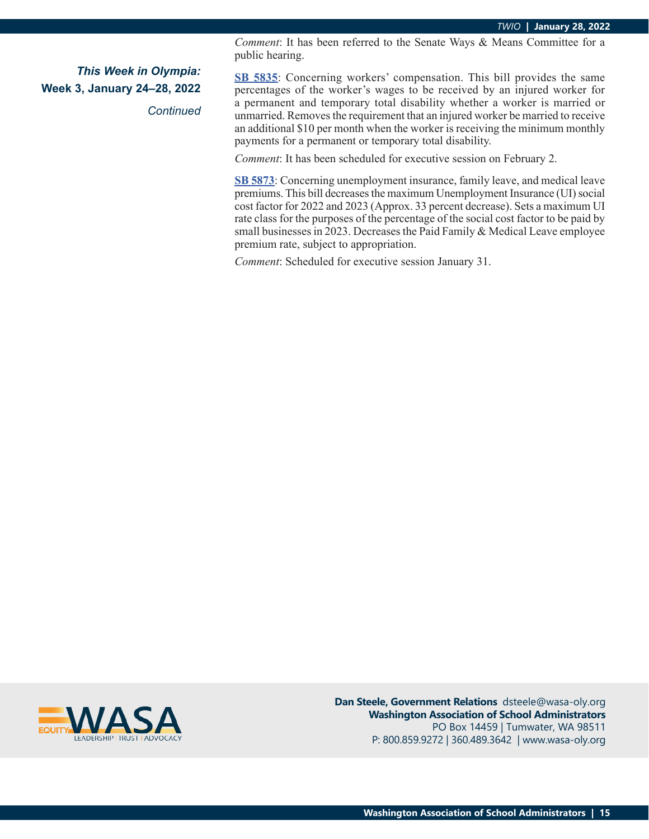*Continued*

*Comment*: It has been referred to the Senate Ways & Means Committee for a public hearing.

**[SB 5835](https://app.leg.wa.gov/billsummary?BillNumber=5835&Initiative=false&Year=2021)**: Concerning workers' compensation. This bill provides the same percentages of the worker's wages to be received by an injured worker for a permanent and temporary total disability whether a worker is married or unmarried. Removes the requirement that an injured worker be married to receive an additional \$10 per month when the worker is receiving the minimum monthly payments for a permanent or temporary total disability.

*Comment*: It has been scheduled for executive session on February 2.

**[SB 5873](https://app.leg.wa.gov/billsummary?BillNumber=5873&Initiative=false&Year=2021)**: Concerning unemployment insurance, family leave, and medical leave premiums. This bill decreases the maximum Unemployment Insurance (UI) social cost factor for 2022 and 2023 (Approx. 33 percent decrease). Sets a maximum UI rate class for the purposes of the percentage of the social cost factor to be paid by small businesses in 2023. Decreases the Paid Family & Medical Leave employee premium rate, subject to appropriation.

*Comment*: Scheduled for executive session January 31.



**Dan Steele, Government Relations** dsteele@wasa-oly.org **Washington Association of School Administrators** PO Box 14459 | Tumwater, WA 98511 P: 800.859.9272 | 360.489.3642 | www.wasa-oly.org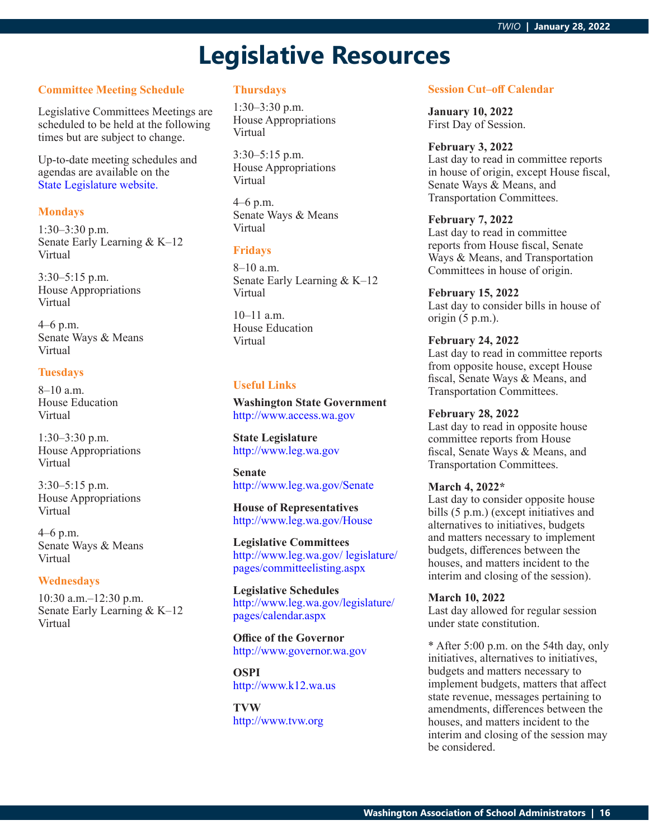# **Legislative Resources**

## **Committee Meeting Schedule**

Legislative Committees Meetings are scheduled to be held at the following times but are subject to change.

Up-to-date meeting schedules and agendas are available on the [State Legislature website.](http://www.leg.wa.gov/legislature/pages/calendar.aspx)

## **Mondays**

1:30–3:30 p.m. Senate Early Learning & K–12 Virtual

3:30–5:15 p.m. House Appropriations Virtual

4–6 p.m. Senate Ways & Means Virtual

## **Tuesdays**

8–10 a.m. House Education Virtual

1:30–3:30 p.m. House Appropriations Virtual

3:30–5:15 p.m. House Appropriations Virtual

4–6 p.m. Senate Ways & Means Virtual

#### **Wednesdays**

10:30 a.m.–12:30 p.m. Senate Early Learning & K–12 Virtual

## **Thursdays**

1:30–3:30 p.m. House Appropriations Virtual

3:30–5:15 p.m. House Appropriations Virtual

4–6 p.m. Senate Ways & Means Virtual

## **Fridays**

8–10 a.m. Senate Early Learning & K–12 Virtual

10–11 a.m. House Education Virtual

## **Useful Links**

**Washington State Government** <http://www.access.wa.gov>

**State Legislature** <http://www.leg.wa.gov>

**Senate** <http://www.leg.wa.gov/Senate>

**House of Representatives** <http://www.leg.wa.gov/House>

**Legislative Committees** [http://www.leg.wa.gov/ legislature/](http://www.leg.wa.gov/ legislature/pages/committeelisting.aspx) [pages/committeelisting.aspx](http://www.leg.wa.gov/ legislature/pages/committeelisting.aspx)

**Legislative Schedules** [http://www.leg.wa.gov/legislature/](http://www.leg.wa.gov/legislature/pages/calendar.aspx) [pages/calendar.aspx](http://www.leg.wa.gov/legislature/pages/calendar.aspx)

**Office of the Governor** <http://www.governor.wa.gov>

**OSPI** <http://www.k12.wa.us>

**TVW** <http://www.tvw.org>

#### **Session Cut–off Calendar**

**January 10, 2022** First Day of Session.

#### **February 3, 2022**

Last day to read in committee reports in house of origin, except House fiscal, Senate Ways & Means, and Transportation Committees.

#### **February 7, 2022**

Last day to read in committee reports from House fiscal, Senate Ways & Means, and Transportation Committees in house of origin.

## **February 15, 2022**

Last day to consider bills in house of origin (5 p.m.).

## **February 24, 2022**

Last day to read in committee reports from opposite house, except House fiscal, Senate Ways & Means, and Transportation Committees.

#### **February 28, 2022**

Last day to read in opposite house committee reports from House fiscal, Senate Ways & Means, and Transportation Committees.

#### **March 4, 2022\***

Last day to consider opposite house bills (5 p.m.) (except initiatives and alternatives to initiatives, budgets and matters necessary to implement budgets, differences between the houses, and matters incident to the interim and closing of the session).

#### **March 10, 2022**

Last day allowed for regular session under state constitution.

\* After 5:00 p.m. on the 54th day, only initiatives, alternatives to initiatives, budgets and matters necessary to implement budgets, matters that affect state revenue, messages pertaining to amendments, differences between the houses, and matters incident to the interim and closing of the session may be considered.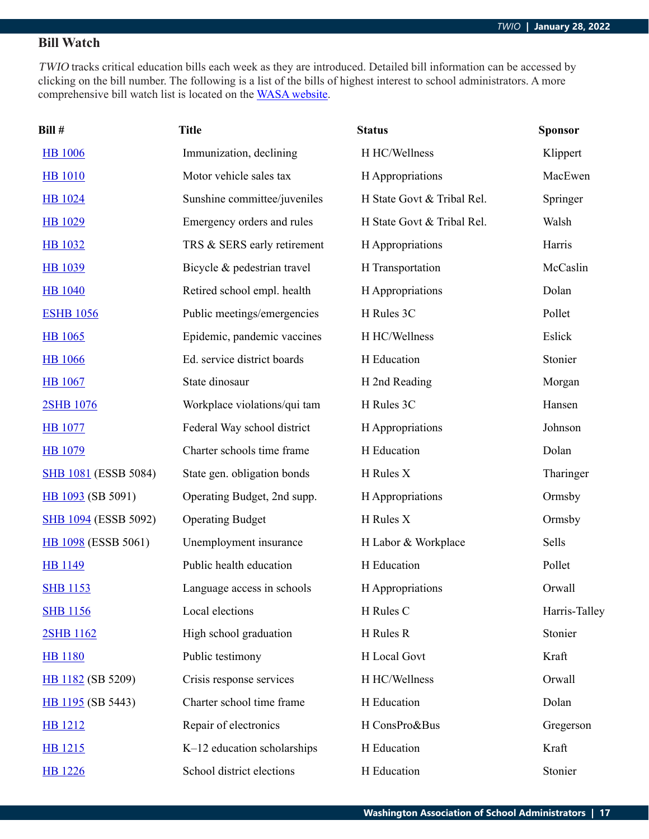## **Bill Watch**

TWIO tracks critical education bills each week as they are introduced. Detailed bill information can be accessed by clicking on the bill number. The following is a list of the bills of highest interest to school administrators. A more comprehensive bill watch list is located on the [WASA website](http://wasa-oly.org/wasa/WASA/Government_Relations/Action_Center/2019_WASA_Bill_Watch/WASA/4_0_Government_Relations/Materials/Bill_Watch/Bill_Watch.aspx?hkey=eee1bb39-a099-43b7-8a1b-1262f2966f1a).

| Bill #                      | <b>Title</b>                 | <b>Status</b>              | <b>Sponsor</b> |
|-----------------------------|------------------------------|----------------------------|----------------|
| <b>HB</b> 1006              | Immunization, declining      | H HC/Wellness              | Klippert       |
| <b>HB</b> 1010              | Motor vehicle sales tax      | H Appropriations           | MacEwen        |
| <b>HB</b> 1024              | Sunshine committee/juveniles | H State Govt & Tribal Rel. | Springer       |
| <b>HB</b> 1029              | Emergency orders and rules   | H State Govt & Tribal Rel. | Walsh          |
| <b>HB</b> 1032              | TRS & SERS early retirement  | H Appropriations           | Harris         |
| <b>HB</b> 1039              | Bicycle & pedestrian travel  | H Transportation           | McCaslin       |
| <b>HB</b> 1040              | Retired school empl. health  | H Appropriations           | Dolan          |
| <b>ESHB 1056</b>            | Public meetings/emergencies  | H Rules 3C                 | Pollet         |
| <b>HB</b> 1065              | Epidemic, pandemic vaccines  | H HC/Wellness              | Eslick         |
| <b>HB</b> 1066              | Ed. service district boards  | H Education                | Stonier        |
| HB 1067                     | State dinosaur               | H 2nd Reading              | Morgan         |
| 2SHB 1076                   | Workplace violations/qui tam | H Rules 3C                 | Hansen         |
| <b>HB</b> 1077              | Federal Way school district  | H Appropriations           | Johnson        |
| <b>HB</b> 1079              | Charter schools time frame   | H Education                | Dolan          |
| <b>SHB 1081 (ESSB 5084)</b> | State gen. obligation bonds  | H Rules X                  | Tharinger      |
| HB 1093 (SB 5091)           | Operating Budget, 2nd supp.  | H Appropriations           | Ormsby         |
| <b>SHB 1094</b> (ESSB 5092) | <b>Operating Budget</b>      | H Rules X                  | Ormsby         |
| <b>HB 1098</b> (ESSB 5061)  | Unemployment insurance       | H Labor & Workplace        | Sells          |
| <b>HB</b> 1149              | Public health education      | H Education                | Pollet         |
| <b>SHB 1153</b>             | Language access in schools   | H Appropriations           | Orwall         |
| <b>SHB</b> 1156             | Local elections              | H Rules C                  | Harris-Talley  |
| 2SHB 1162                   | High school graduation       | H Rules R                  | Stonier        |
| <b>HB</b> 1180              | Public testimony             | H Local Govt               | Kraft          |
| HB 1182 (SB 5209)           | Crisis response services     | H HC/Wellness              | Orwall         |
| HB 1195 (SB 5443)           | Charter school time frame    | H Education                | Dolan          |
| <b>HB</b> 1212              | Repair of electronics        | H ConsPro&Bus              | Gregerson      |
| HB 1215                     | K-12 education scholarships  | H Education                | Kraft          |
| <b>HB</b> 1226              | School district elections    | H Education                | Stonier        |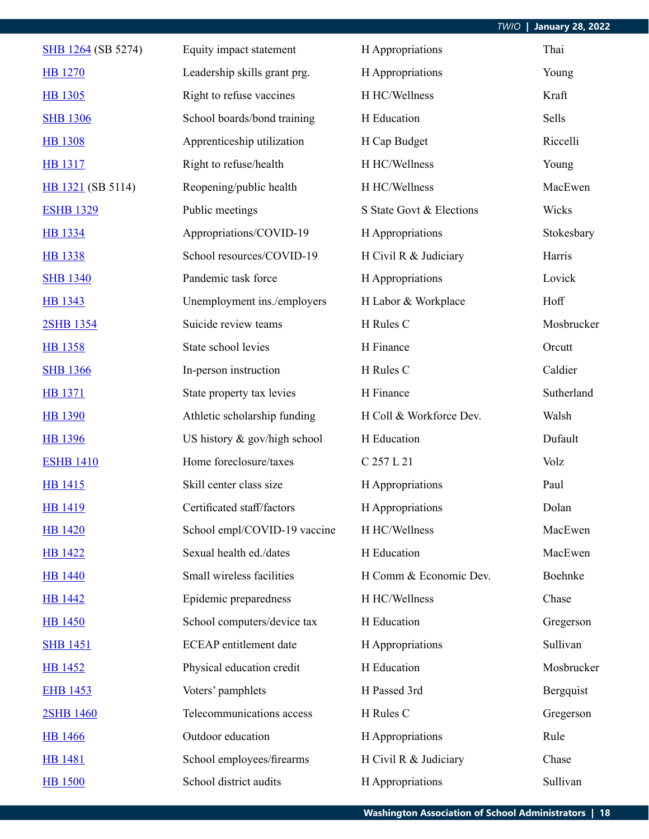| SHB 1264 (SB 5274) | Equity impact statement       | H Appropriations         | Thai       |
|--------------------|-------------------------------|--------------------------|------------|
| <b>HB</b> 1270     | Leadership skills grant prg.  | H Appropriations         | Young      |
| HB 1305            | Right to refuse vaccines      | H HC/Wellness            | Kraft      |
| <b>SHB 1306</b>    | School boards/bond training   | H Education              | Sells      |
| <b>HB</b> 1308     | Apprenticeship utilization    | H Cap Budget             | Riccelli   |
| <b>HB</b> 1317     | Right to refuse/health        | H HC/Wellness            | Young      |
| HB 1321 (SB 5114)  | Reopening/public health       | H HC/Wellness            | MacEwen    |
| <b>ESHB 1329</b>   | Public meetings               | S State Govt & Elections | Wicks      |
| HB 1334            | Appropriations/COVID-19       | H Appropriations         | Stokesbary |
| <b>HB</b> 1338     | School resources/COVID-19     | H Civil R & Judiciary    | Harris     |
| <b>SHB 1340</b>    | Pandemic task force           | H Appropriations         | Lovick     |
| HB 1343            | Unemployment ins./employers   | H Labor & Workplace      | Hoff       |
| 2SHB 1354          | Suicide review teams          | H Rules C                | Mosbrucker |
| <b>HB</b> 1358     | State school levies           | H Finance                | Orcutt     |
| <b>SHB 1366</b>    | In-person instruction         | H Rules C                | Caldier    |
| <b>HB</b> 1371     | State property tax levies     | H Finance                | Sutherland |
| <b>HB</b> 1390     | Athletic scholarship funding  | H Coll & Workforce Dev.  | Walsh      |
| <b>HB</b> 1396     | US history & gov/high school  | H Education              | Dufault    |
| <b>ESHB 1410</b>   | Home foreclosure/taxes        | C 257 L 21               | Volz       |
| <b>HB</b> 1415     | Skill center class size       | H Appropriations         | Paul       |
| <b>HB</b> 1419     | Certificated staff/factors    | H Appropriations         | Dolan      |
| <b>HB</b> 1420     | School empl/COVID-19 vaccine  | H HC/Wellness            | MacEwen    |
| <b>HB</b> 1422     | Sexual health ed./dates       | H Education              | MacEwen    |
| <b>HB</b> 1440     | Small wireless facilities     | H Comm & Economic Dev.   | Boehnke    |
| <b>HB</b> 1442     | Epidemic preparedness         | H HC/Wellness            | Chase      |
| <b>HB</b> 1450     | School computers/device tax   | H Education              | Gregerson  |
| <b>SHB 1451</b>    | <b>ECEAP</b> entitlement date | H Appropriations         | Sullivan   |
| <b>HB</b> 1452     | Physical education credit     | H Education              | Mosbrucker |
| <b>EHB 1453</b>    | Voters' pamphlets             | H Passed 3rd             | Bergquist  |
| 2SHB 1460          | Telecommunications access     | H Rules C                | Gregerson  |
| <b>HB</b> 1466     | Outdoor education             | H Appropriations         | Rule       |
| <b>HB</b> 1481     | School employees/firearms     | H Civil R & Judiciary    | Chase      |
| <b>HB</b> 1500     | School district audits        | H Appropriations         | Sullivan   |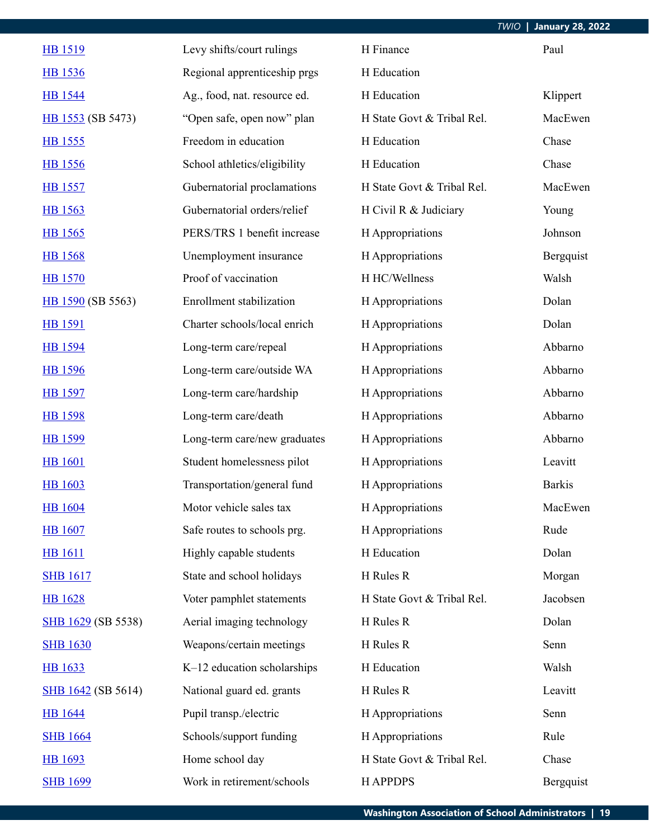|                           |                                 |                            | <b>January 28, 2022</b><br><b>TWIO</b> |
|---------------------------|---------------------------------|----------------------------|----------------------------------------|
| <b>HB</b> 1519            | Levy shifts/court rulings       | H Finance                  | Paul                                   |
| <b>HB</b> 1536            | Regional apprenticeship prgs    | H Education                |                                        |
| <b>HB</b> 1544            | Ag., food, nat. resource ed.    | H Education                | Klippert                               |
| HB 1553 (SB 5473)         | "Open safe, open now" plan      | H State Govt & Tribal Rel. | MacEwen                                |
| HB 1555                   | Freedom in education            | H Education                | Chase                                  |
| <b>HB</b> 1556            | School athletics/eligibility    | H Education                | Chase                                  |
| <b>HB</b> 1557            | Gubernatorial proclamations     | H State Govt & Tribal Rel. | MacEwen                                |
| HB 1563                   | Gubernatorial orders/relief     | H Civil R & Judiciary      | Young                                  |
| HB 1565                   | PERS/TRS 1 benefit increase     | H Appropriations           | Johnson                                |
| <b>HB</b> 1568            | Unemployment insurance          | H Appropriations           | Bergquist                              |
| <b>HB</b> 1570            | Proof of vaccination            | H HC/Wellness              | Walsh                                  |
| HB 1590 (SB 5563)         | <b>Enrollment</b> stabilization | H Appropriations           | Dolan                                  |
| <b>HB</b> 1591            | Charter schools/local enrich    | H Appropriations           | Dolan                                  |
| <b>HB</b> 1594            | Long-term care/repeal           | H Appropriations           | Abbarno                                |
| <b>HB</b> 1596            | Long-term care/outside WA       | H Appropriations           | Abbarno                                |
| <b>HB</b> 1597            | Long-term care/hardship         | H Appropriations           | Abbarno                                |
| <b>HB</b> 1598            | Long-term care/death            | H Appropriations           | Abbarno                                |
| HB 1599                   | Long-term care/new graduates    | H Appropriations           | Abbarno                                |
| <b>HB</b> 1601            | Student homelessness pilot      | H Appropriations           | Leavitt                                |
| <b>HB</b> 1603            | Transportation/general fund     | H Appropriations           | <b>Barkis</b>                          |
| <b>HB</b> 1604            | Motor vehicle sales tax         | H Appropriations           | MacEwen                                |
| <b>HB</b> 1607            | Safe routes to schools prg.     | H Appropriations           | Rude                                   |
| <b>HB</b> 1611            | Highly capable students         | H Education                | Dolan                                  |
| <b>SHB 1617</b>           | State and school holidays       | H Rules R                  | Morgan                                 |
| <b>HB</b> 1628            | Voter pamphlet statements       | H State Govt & Tribal Rel. | Jacobsen                               |
| SHB 1629 (SB 5538)        | Aerial imaging technology       | H Rules R                  | Dolan                                  |
| <b>SHB 1630</b>           | Weapons/certain meetings        | H Rules R                  | Senn                                   |
| HB 1633                   | K-12 education scholarships     | H Education                | Walsh                                  |
| <b>SHB 1642 (SB 5614)</b> | National guard ed. grants       | H Rules R                  | Leavitt                                |
| <b>HB</b> 1644            | Pupil transp./electric          | H Appropriations           | Senn                                   |
| <b>SHB 1664</b>           | Schools/support funding         | H Appropriations           | Rule                                   |
| HB 1693                   | Home school day                 | H State Govt & Tribal Rel. | Chase                                  |
| <b>SHB 1699</b>           | Work in retirement/schools      | <b>HAPPDPS</b>             | Bergquist                              |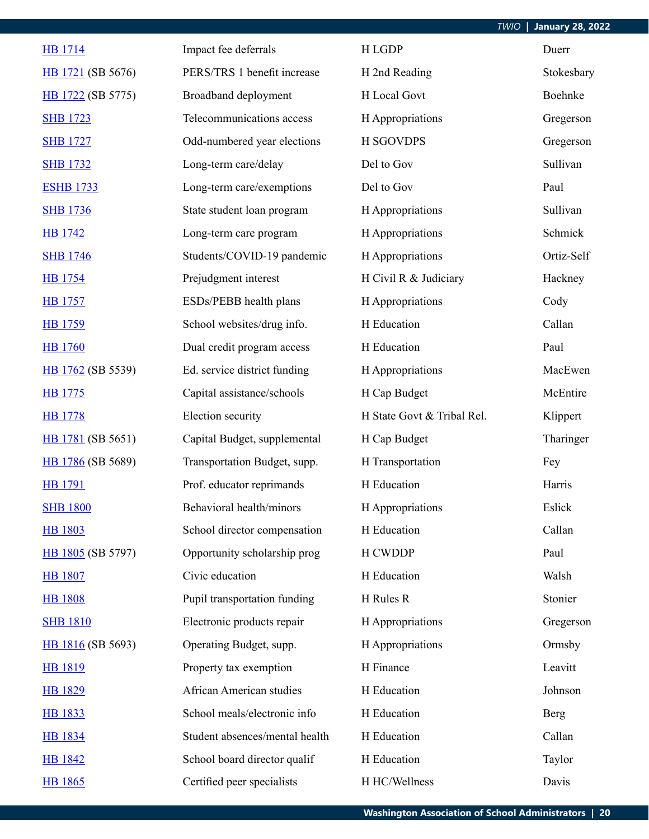|                   |                                 |                            | TWIO | <b>January 28, 2022</b> |
|-------------------|---------------------------------|----------------------------|------|-------------------------|
| <b>HB</b> 1714    | Impact fee deferrals            | H LGDP                     |      | Duerr                   |
| HB 1721 (SB 5676) | PERS/TRS 1 benefit increase     | H 2nd Reading              |      | Stokesbary              |
| HB 1722 (SB 5775) | Broadband deployment            | H Local Govt               |      | Boehnke                 |
| <b>SHB 1723</b>   | Telecommunications access       | H Appropriations           |      | Gregerson               |
| <b>SHB 1727</b>   | Odd-numbered year elections     | <b>H SGOVDPS</b>           |      | Gregerson               |
| <b>SHB 1732</b>   | Long-term care/delay            | Del to Gov                 |      | Sullivan                |
| <b>ESHB 1733</b>  | Long-term care/exemptions       | Del to Gov                 |      | Paul                    |
| <b>SHB 1736</b>   | State student loan program      | H Appropriations           |      | Sullivan                |
| HB 1742           | Long-term care program          | H Appropriations           |      | Schmick                 |
| <b>SHB 1746</b>   | Students/COVID-19 pandemic      | H Appropriations           |      | Ortiz-Self              |
| <b>HB</b> 1754    | Prejudgment interest            | H Civil R & Judiciary      |      | Hackney                 |
| <b>HB</b> 1757    | ESDs/PEBB health plans          | H Appropriations           |      | Cody                    |
| HB 1759           | School websites/drug info.      | H Education                |      | Callan                  |
| <b>HB</b> 1760    | Dual credit program access      | H Education                |      | Paul                    |
| HB 1762 (SB 5539) | Ed. service district funding    | H Appropriations           |      | MacEwen                 |
| HB 1775           | Capital assistance/schools      | H Cap Budget               |      | McEntire                |
| <b>HB</b> 1778    | Election security               | H State Govt & Tribal Rel. |      | Klippert                |
| HB 1781 (SB 5651) | Capital Budget, supplemental    | H Cap Budget               |      | Tharinger               |
| HB 1786 (SB 5689) | Transportation Budget, supp.    | H Transportation           |      | Fey                     |
| <b>HB</b> 1791    | Prof. educator reprimands       | H Education                |      | Harris                  |
| <b>SHB 1800</b>   | Behavioral health/minors        | H Appropriations           |      | Eslick                  |
| HB 1803           | School director compensation    | H Education                |      | Callan                  |
| HB 1805 (SB 5797) | Opportunity scholarship prog    | <b>H CWDDP</b>             |      | Paul                    |
| <b>HB</b> 1807    | Civic education                 | H Education                |      | Walsh                   |
| <b>HB</b> 1808    | Pupil transportation funding    | H Rules R                  |      | Stonier                 |
| <b>SHB 1810</b>   | Electronic products repair      | H Appropriations           |      | Gregerson               |
| HB 1816 (SB 5693) | Operating Budget, supp.         | H Appropriations           |      | Ormsby                  |
| HB 1819           | Property tax exemption          | H Finance                  |      | Leavitt                 |
| HB 1829           | <b>African American studies</b> | H Education                |      | Johnson                 |
| HB 1833           | School meals/electronic info    | H Education                |      | <b>Berg</b>             |
| <b>HB</b> 1834    | Student absences/mental health  | H Education                |      | Callan                  |
| HB 1842           | School board director qualif    | H Education                |      | Taylor                  |
| HB 1865           | Certified peer specialists      | H HC/Wellness              |      | Davis                   |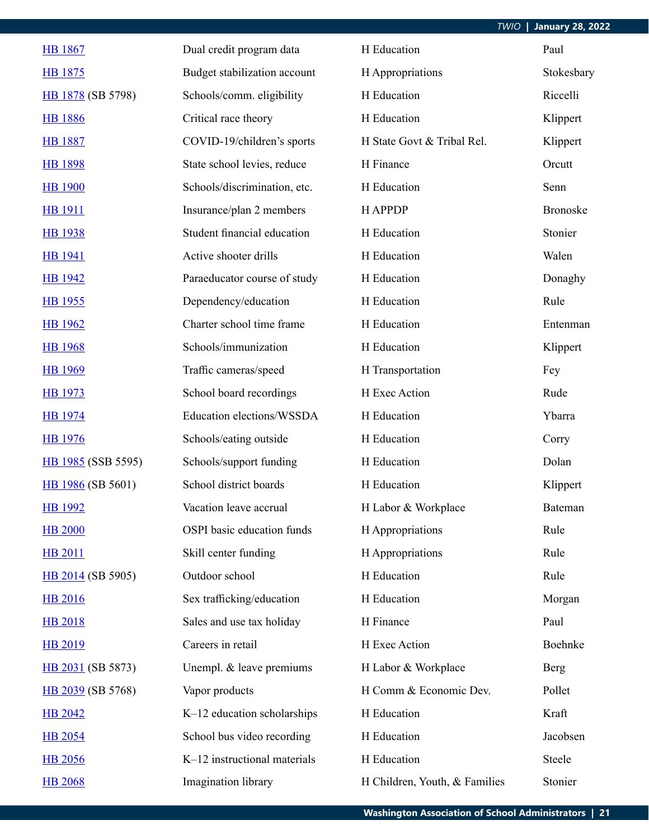| <b>HB</b> 1867     | Dual credit program data     | H Education                   | Paul            |
|--------------------|------------------------------|-------------------------------|-----------------|
| HB 1875            | Budget stabilization account | H Appropriations              | Stokesbary      |
| HB 1878 (SB 5798)  | Schools/comm. eligibility    | H Education                   | Riccelli        |
| <b>HB 1886</b>     | Critical race theory         | H Education                   | Klippert        |
| <b>HB</b> 1887     | COVID-19/children's sports   | H State Govt & Tribal Rel.    | Klippert        |
| <b>HB 1898</b>     | State school levies, reduce  | H Finance                     | Orcutt          |
| <b>HB 1900</b>     | Schools/discrimination, etc. | H Education                   | Senn            |
| <b>HB</b> 1911     | Insurance/plan 2 members     | <b>HAPPDP</b>                 | <b>Bronoske</b> |
| <b>HB</b> 1938     | Student financial education  | H Education                   | Stonier         |
| <b>HB</b> 1941     | Active shooter drills        | H Education                   | Walen           |
| <b>HB</b> 1942     | Paraeducator course of study | H Education                   | Donaghy         |
| HB 1955            | Dependency/education         | H Education                   | Rule            |
| <b>HB</b> 1962     | Charter school time frame    | H Education                   | Entenman        |
| <b>HB</b> 1968     | Schools/immunization         | H Education                   | Klippert        |
| <b>HB</b> 1969     | Traffic cameras/speed        | H Transportation              | Fey             |
| <b>HB</b> 1973     | School board recordings      | H Exec Action                 | Rude            |
| <b>HB</b> 1974     | Education elections/WSSDA    | H Education                   | Ybarra          |
| <b>HB</b> 1976     | Schools/eating outside       | H Education                   | Corry           |
| HB 1985 (SSB 5595) | Schools/support funding      | H Education                   | Dolan           |
| HB 1986 (SB 5601)  | School district boards       | H Education                   | Klippert        |
| <b>HB</b> 1992     | Vacation leave accrual       | H Labor & Workplace           | Bateman         |
| <b>HB 2000</b>     | OSPI basic education funds   | H Appropriations              | Rule            |
| <b>HB 2011</b>     | Skill center funding         | H Appropriations              | Rule            |
| HB 2014 (SB 5905)  | Outdoor school               | H Education                   | Rule            |
| <b>HB 2016</b>     | Sex trafficking/education    | H Education                   | Morgan          |
| <b>HB 2018</b>     | Sales and use tax holiday    | H Finance                     | Paul            |
| <b>HB 2019</b>     | Careers in retail            | H Exec Action                 | Boehnke         |
| HB 2031 (SB 5873)  | Unempl. & leave premiums     | H Labor & Workplace           | Berg            |
| HB 2039 (SB 5768)  | Vapor products               | H Comm & Economic Dev.        | Pollet          |
| <b>HB 2042</b>     | K-12 education scholarships  | H Education                   | Kraft           |
| <b>HB</b> 2054     | School bus video recording   | H Education                   | Jacobsen        |
| <b>HB 2056</b>     | K-12 instructional materials | H Education                   | Steele          |
| <b>HB 2068</b>     | Imagination library          | H Children, Youth, & Families | Stonier         |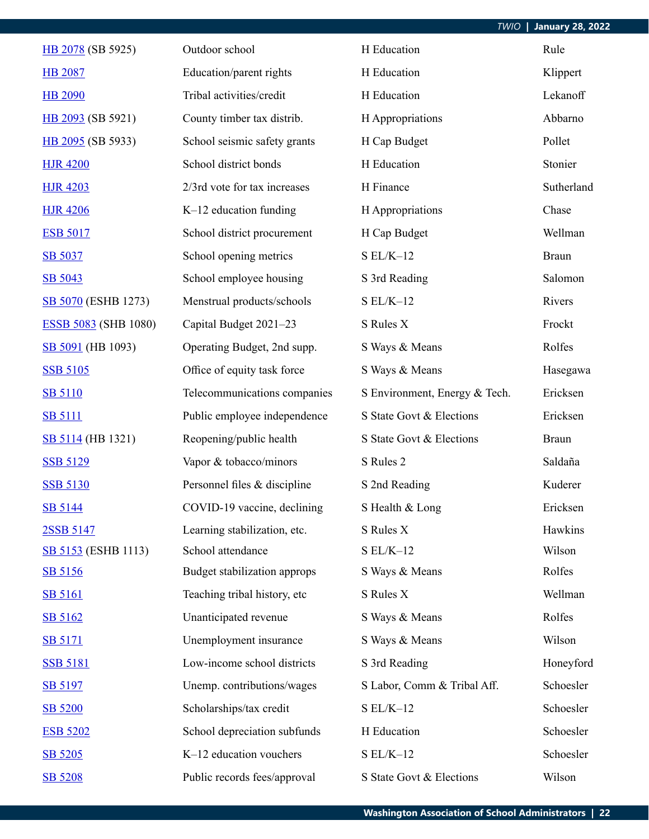| HB 2078 (SB 5925)           | Outdoor school               | H Education                   | Rule         |
|-----------------------------|------------------------------|-------------------------------|--------------|
| <b>HB 2087</b>              | Education/parent rights      | H Education                   | Klippert     |
| <b>HB 2090</b>              | Tribal activities/credit     | H Education                   | Lekanoff     |
| HB 2093 (SB 5921)           | County timber tax distrib.   | H Appropriations              | Abbarno      |
| HB 2095 (SB 5933)           | School seismic safety grants | H Cap Budget                  | Pollet       |
| <b>HJR 4200</b>             | School district bonds        | H Education                   | Stonier      |
| <b>HJR 4203</b>             | 2/3rd vote for tax increases | H Finance                     | Sutherland   |
| <b>HJR 4206</b>             | $K-12$ education funding     | H Appropriations              | Chase        |
| <b>ESB 5017</b>             | School district procurement  | H Cap Budget                  | Wellman      |
| SB 5037                     | School opening metrics       | $SL/K-12$                     | <b>Braun</b> |
| SB 5043                     | School employee housing      | S 3rd Reading                 | Salomon      |
| SB 5070 (ESHB 1273)         | Menstrual products/schools   | $SL/K-12$                     | Rivers       |
| <b>ESSB 5083</b> (SHB 1080) | Capital Budget 2021-23       | S Rules X                     | Frockt       |
| SB 5091 (HB 1093)           | Operating Budget, 2nd supp.  | S Ways & Means                | Rolfes       |
| <b>SSB 5105</b>             | Office of equity task force  | S Ways & Means                | Hasegawa     |
| <b>SB 5110</b>              | Telecommunications companies | S Environment, Energy & Tech. | Ericksen     |
| <b>SB 5111</b>              | Public employee independence | S State Govt & Elections      | Ericksen     |
| SB 5114 (HB 1321)           | Reopening/public health      | S State Govt & Elections      | <b>Braun</b> |
| <b>SSB 5129</b>             | Vapor & tobacco/minors       | S Rules 2                     | Saldaña      |
| <b>SSB 5130</b>             | Personnel files & discipline | S 2nd Reading                 | Kuderer      |
| SB 5144                     | COVID-19 vaccine, declining  | S Health & Long               | Ericksen     |
| 2SSB 5147                   | Learning stabilization, etc. | S Rules X                     | Hawkins      |
| SB 5153 (ESHB 1113)         | School attendance            | $S EL/K-12$                   | Wilson       |
| SB 5156                     | Budget stabilization approps | S Ways & Means                | Rolfes       |
| <b>SB 5161</b>              | Teaching tribal history, etc | S Rules X                     | Wellman      |
| SB 5162                     | Unanticipated revenue        | S Ways & Means                | Rolfes       |
| <b>SB 5171</b>              | Unemployment insurance       | S Ways & Means                | Wilson       |
| <b>SSB 5181</b>             | Low-income school districts  | S 3rd Reading                 | Honeyford    |
| SB 5197                     | Unemp. contributions/wages   | S Labor, Comm & Tribal Aff.   | Schoesler    |
| <b>SB 5200</b>              | Scholarships/tax credit      | $SL/K-12$                     | Schoesler    |
| <b>ESB 5202</b>             | School depreciation subfunds | H Education                   | Schoesler    |
| SB 5205                     | K-12 education vouchers      | $S EL/K-12$                   | Schoesler    |
| SB 5208                     | Public records fees/approval | S State Govt & Elections      | Wilson       |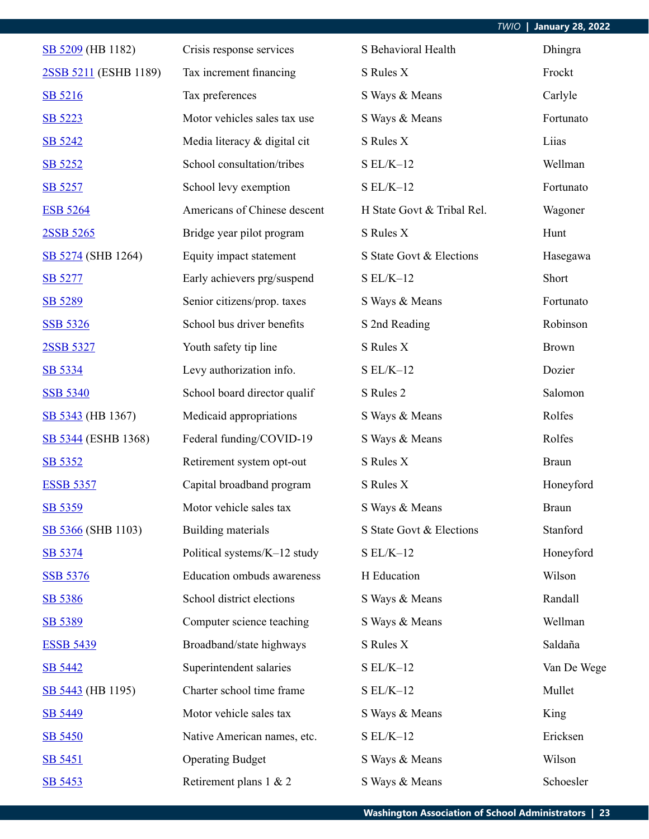| SB 5209 (HB 1182)     | Crisis response services     | S Behavioral Health        | Dhingra      |
|-----------------------|------------------------------|----------------------------|--------------|
| 2SSB 5211 (ESHB 1189) | Tax increment financing      | S Rules X                  | Frockt       |
| SB 5216               | Tax preferences              | S Ways & Means             | Carlyle      |
| SB 5223               | Motor vehicles sales tax use | S Ways & Means             | Fortunato    |
| SB 5242               | Media literacy & digital cit | S Rules X                  | Liias        |
| SB 5252               | School consultation/tribes   | $S EL/K-12$                | Wellman      |
| <b>SB 5257</b>        | School levy exemption        | $S EL/K-12$                | Fortunato    |
| <b>ESB 5264</b>       | Americans of Chinese descent | H State Govt & Tribal Rel. | Wagoner      |
| 2SSB 5265             | Bridge year pilot program    | S Rules X                  | Hunt         |
| SB 5274 (SHB 1264)    | Equity impact statement      | S State Govt & Elections   | Hasegawa     |
| SB 5277               | Early achievers prg/suspend  | $S EL/K-12$                | Short        |
| SB 5289               | Senior citizens/prop. taxes  | S Ways & Means             | Fortunato    |
| <b>SSB 5326</b>       | School bus driver benefits   | S 2nd Reading              | Robinson     |
| 2SSB 5327             | Youth safety tip line        | S Rules X                  | <b>Brown</b> |
| SB 5334               | Levy authorization info.     | $S EL/K-12$                | Dozier       |
| <b>SSB 5340</b>       | School board director qualif | S Rules 2                  | Salomon      |
| SB 5343 (HB 1367)     | Medicaid appropriations      | S Ways & Means             | Rolfes       |
| SB 5344 (ESHB 1368)   | Federal funding/COVID-19     | S Ways & Means             | Rolfes       |
| SB 5352               | Retirement system opt-out    | S Rules X                  | <b>Braun</b> |
| <b>ESSB 5357</b>      | Capital broadband program    | S Rules X                  | Honeyford    |
| SB 5359               | Motor vehicle sales tax      | S Ways & Means             | <b>Braun</b> |
| SB 5366 (SHB 1103)    | Building materials           | S State Govt & Elections   | Stanford     |
| SB 5374               | Political systems/K-12 study | $SL/K-12$                  | Honeyford    |
| <b>SSB 5376</b>       | Education ombuds awareness   | H Education                | Wilson       |
| SB 5386               | School district elections    | S Ways & Means             | Randall      |
| SB 5389               | Computer science teaching    | S Ways & Means             | Wellman      |
| <b>ESSB 5439</b>      | Broadband/state highways     | S Rules X                  | Saldaña      |
| SB 5442               | Superintendent salaries      | $SL/K-12$                  | Van De Wege  |
| SB 5443 (HB 1195)     | Charter school time frame    | $SL/K-12$                  | Mullet       |
| SB 5449               | Motor vehicle sales tax      | S Ways & Means             | King         |
| <b>SB 5450</b>        | Native American names, etc.  | $SL/K-12$                  | Ericksen     |
| SB 5451               | <b>Operating Budget</b>      | S Ways & Means             | Wilson       |
| SB 5453               | Retirement plans 1 & 2       | S Ways & Means             | Schoesler    |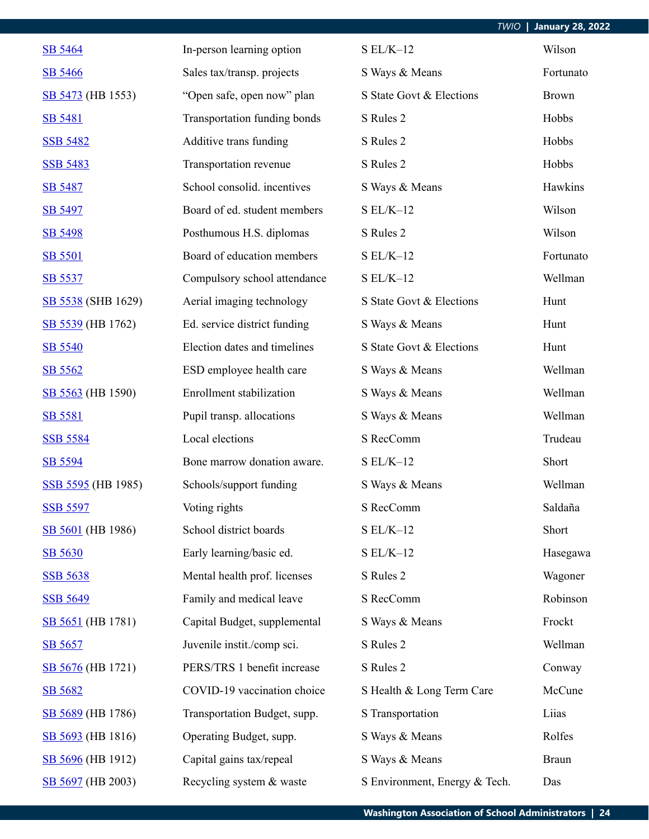| SB 5464            | In-person learning option       | $SL/K-12$                     | Wilson       |
|--------------------|---------------------------------|-------------------------------|--------------|
| SB 5466            | Sales tax/transp. projects      | S Ways & Means                | Fortunato    |
| SB 5473 (HB 1553)  | "Open safe, open now" plan      | S State Govt & Elections      | <b>Brown</b> |
| <b>SB 5481</b>     | Transportation funding bonds    | S Rules 2                     | Hobbs        |
| <b>SSB 5482</b>    | Additive trans funding          | S Rules 2                     | Hobbs        |
| <b>SSB 5483</b>    | Transportation revenue          | S Rules 2                     | Hobbs        |
| SB 5487            | School consolid. incentives     | S Ways & Means                | Hawkins      |
| SB 5497            | Board of ed. student members    | $S EL/K-12$                   | Wilson       |
| SB 5498            | Posthumous H.S. diplomas        | S Rules 2                     | Wilson       |
| <b>SB 5501</b>     | Board of education members      | $S EL/K-12$                   | Fortunato    |
| SB 5537            | Compulsory school attendance    | $S EL/K-12$                   | Wellman      |
| SB 5538 (SHB 1629) | Aerial imaging technology       | S State Govt & Elections      | Hunt         |
| SB 5539 (HB 1762)  | Ed. service district funding    | S Ways & Means                | Hunt         |
| SB 5540            | Election dates and timelines    | S State Govt & Elections      | Hunt         |
| SB 5562            | ESD employee health care        | S Ways & Means                | Wellman      |
| SB 5563 (HB 1590)  | <b>Enrollment</b> stabilization | S Ways & Means                | Wellman      |
| SB 5581            | Pupil transp. allocations       | S Ways & Means                | Wellman      |
| <b>SSB 5584</b>    | Local elections                 | S RecComm                     | Trudeau      |
| SB 5594            | Bone marrow donation aware.     | $S EL/K-12$                   | Short        |
| SSB 5595 (HB 1985) | Schools/support funding         | S Ways & Means                | Wellman      |
| <b>SSB 5597</b>    | Voting rights                   | S RecComm                     | Saldaña      |
| SB 5601 (HB 1986)  | School district boards          | $S EL/K-12$                   | Short        |
| SB 5630            | Early learning/basic ed.        | $SL/K-12$                     | Hasegawa     |
| <b>SSB 5638</b>    | Mental health prof. licenses    | S Rules 2                     | Wagoner      |
| <b>SSB 5649</b>    | Family and medical leave        | S RecComm                     | Robinson     |
| SB 5651 (HB 1781)  | Capital Budget, supplemental    | S Ways & Means                | Frockt       |
| SB 5657            | Juvenile instit./comp sci.      | S Rules 2                     | Wellman      |
| SB 5676 (HB 1721)  | PERS/TRS 1 benefit increase     | S Rules 2                     | Conway       |
| SB 5682            | COVID-19 vaccination choice     | S Health & Long Term Care     | McCune       |
| SB 5689 (HB 1786)  | Transportation Budget, supp.    | S Transportation              | Liias        |
| SB 5693 (HB 1816)  | Operating Budget, supp.         | S Ways & Means                | Rolfes       |
| SB 5696 (HB 1912)  | Capital gains tax/repeal        | S Ways & Means                | <b>Braun</b> |
| SB 5697 (HB 2003)  | Recycling system & waste        | S Environment, Energy & Tech. | Das          |

*TWIO* **| January 28, 2022**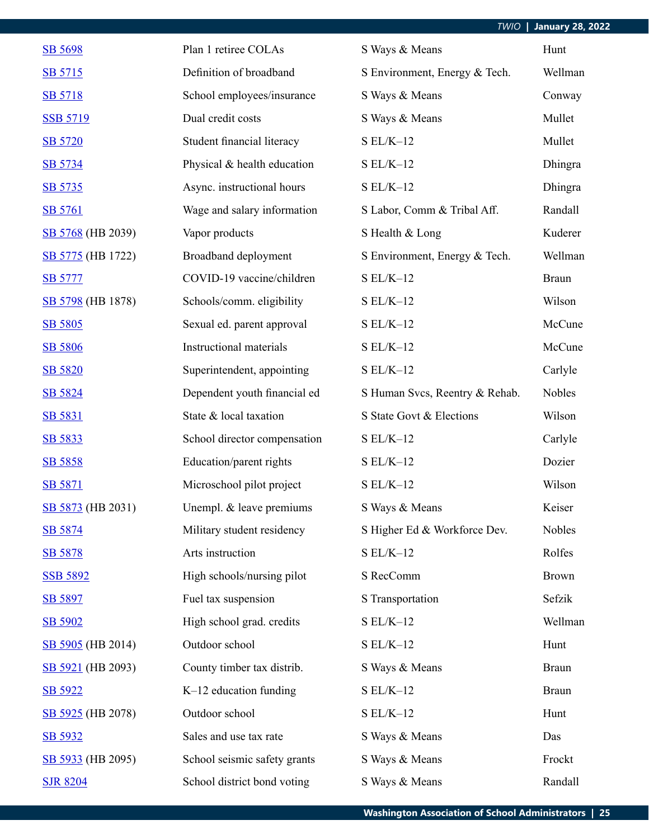| SB 5698                  | Plan 1 retiree COLAs           | S Ways & Means                 | Hunt          |
|--------------------------|--------------------------------|--------------------------------|---------------|
| SB 5715                  | Definition of broadband        | S Environment, Energy & Tech.  | Wellman       |
| SB 5718                  | School employees/insurance     | S Ways & Means                 | Conway        |
| <b>SSB 5719</b>          | Dual credit costs              | S Ways & Means                 | Mullet        |
| SB 5720                  | Student financial literacy     | $SL/K-12$                      | Mullet        |
| SB 5734                  | Physical & health education    | $S EL/K-12$                    | Dhingra       |
| SB 5735                  | Async. instructional hours     | $S EL/K-12$                    | Dhingra       |
| SB 5761                  | Wage and salary information    | S Labor, Comm & Tribal Aff.    | Randall       |
| SB 5768 (HB 2039)        | Vapor products                 | S Health & Long                | Kuderer       |
| SB 5775 (HB 1722)        | Broadband deployment           | S Environment, Energy & Tech.  | Wellman       |
| <b>SB 5777</b>           | COVID-19 vaccine/children      | $SL/K-12$                      | <b>Braun</b>  |
| SB 5798 (HB 1878)        | Schools/comm. eligibility      | $SL/K-12$                      | Wilson        |
| SB 5805                  | Sexual ed. parent approval     | $S EL/K-12$                    | McCune        |
| SB 5806                  | <b>Instructional materials</b> | $S EL/K-12$                    | McCune        |
| <b>SB 5820</b>           | Superintendent, appointing     | $S EL/K-12$                    | Carlyle       |
| SB 5824                  | Dependent youth financial ed   | S Human Svcs, Reentry & Rehab. | <b>Nobles</b> |
| SB 5831                  | State & local taxation         | S State Govt & Elections       | Wilson        |
| SB 5833                  | School director compensation   | $S EL/K-12$                    | Carlyle       |
| SB 5858                  | Education/parent rights        | $S EL/K-12$                    | Dozier        |
| SB 5871                  | Microschool pilot project      | $S EL/K-12$                    | Wilson        |
| <b>SB 5873</b> (HB 2031) | Unempl. & leave premiums       | S Ways & Means                 | Keiser        |
| SB 5874                  | Military student residency     | S Higher Ed & Workforce Dev.   | <b>Nobles</b> |
| SB 5878                  | Arts instruction               | $S EL/K-12$                    | Rolfes        |
| <b>SSB 5892</b>          | High schools/nursing pilot     | S RecComm                      | <b>Brown</b>  |
| SB 5897                  | Fuel tax suspension            | S Transportation               | Sefzik        |
| SB 5902                  | High school grad. credits      | $SL/K-12$                      | Wellman       |
| SB 5905 (HB 2014)        | Outdoor school                 | $S EL/K-12$                    | Hunt          |
| SB 5921 (HB 2093)        | County timber tax distrib.     | S Ways & Means                 | <b>Braun</b>  |
| SB 5922                  | K-12 education funding         | $SL/K-12$                      | <b>Braun</b>  |
| SB 5925 (HB 2078)        | Outdoor school                 | $S EL/K-12$                    | Hunt          |
| SB 5932                  | Sales and use tax rate         | S Ways & Means                 | Das           |
| SB 5933 (HB 2095)        | School seismic safety grants   | S Ways & Means                 | Frockt        |
| <b>SJR 8204</b>          | School district bond voting    | S Ways & Means                 | Randall       |